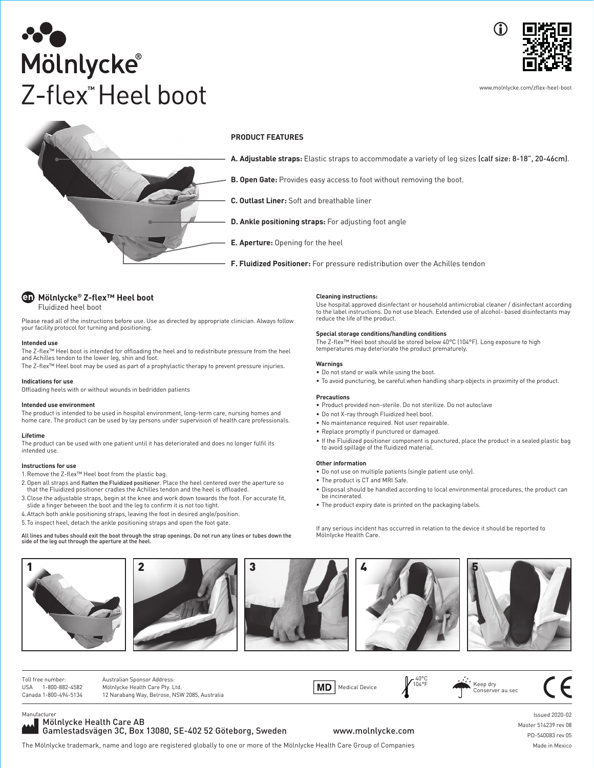



www.molnlycke.com/zflex-heel-boot



# **PRODUCT FEATURES**

**A. Adjustable straps:** Elastic straps to accommodate a variety of leg sizes (calf size: 8-18", 20-46cm).

- **B. Open Gate:** Provides easy access to foot without removing the boot.
- **C. Outlast Liner:** Soft and breathable liner
- **D. Ankle positioning straps:** For adjusting foot angle
- **E. Aperture:** Opening for the heel

**F. Fluidized Positioner:** For pressure redistribution over the Achilles tendon



Please read all of the instructions before use. Use as directed by appropriate clinician. Always follow your facility protocol for turning and positioning.

#### **Intended use**

The Z-flex™ Heel boot is intended for offloading the heel and to redistribute pressure from the heel and Achilles tendon to the lower leg, shin and foot. The Z-flex™ Heel boot may be used as part of a prophylactic therapy to prevent pressure injuries.

## **Indications for use**

Offloading heels with or without wounds in bedridden patients

#### **Intended use environment**

The product is intended to be used in hospital environment, long-term care, nursing homes and home care. The product can be used by lay persons under supervision of health care professionals.

## **Lifetime**

The product can be used with one patient until it has deteriorated and does no longer fulfil its intended use.

## **Instructions for use**

1. Remove the Z-flex™ Heel boot from the plastic bag.

- 2. Open all straps and fl<mark>atten the Fluidized positioner</mark>. Place the heel centered over the aperture so<br>that the Fluidized positioner cradles the Achilles tendon and the heel is offloaded.
- 3. Close the adjustable straps, begin at the knee and work down towards the foot. For accurate fit, slide a finger between the boot and the leg to confirm it is not too tight.
- 4. Attach both ankle positioning straps, leaving the foot in desired angle/position.
- 5. To inspect heel, detach the ankle positioning straps and open the foot gate.

# All lines and tubes should exit the boot through the strap openings. Do not run any lines or tubes down the side of the leg out through the aperture at the heel.











Toll free number: USA 1-800-882-4582 Canada 1-800-494-5134 Australian Sponsor Address: Mölnlycke Health Care Pty. Ltd. 12 Narabang Way, Belrose, NSW 2085, Australia MD | Medical Device  $740^{\circ}$ C<br>104°F Keep dry Conserver au sec

Manufacturer Mölnlycke Health Care AB

Gamlestadsvägen 3C, Box 13080, SE-402 52 Göteborg, Sweden

www.molnlycke.com

The Mölnlycke trademark, name and logo are registered globally to one or more of the Mölnlycke Health Care Group of Companies Made in Mexico

Issued 2020-02 Master 514239 rev 08 PD-540083 rev 05

## **Cleaning instructions:**

Use hospital approved disinfectant or household antimicrobial cleaner / disinfectant according to the label instructions. Do not use bleach. Extended use of alcohol- based disinfectants may reduce the life of the product.

## **Special storage conditions/handling conditions**

The Z-fl ex™ Heel boot should be stored below 40°C (104°F). Long exposure to high temperatures may deteriorate the product prematurely.

#### **Warnings**

- Do not stand or walk while using the boot.
- To avoid puncturing, be careful when handling sharp objects in proximity of the product.

#### **Precautions**

- Product provided non-sterile. Do not sterilize. Do not autoclave
- Do not X-ray through Fluidized heel boot.
- No maintenance required. Not user repairable.
- Replace promptly if punctured or damaged.
- If the Fluidized positioner component is punctured, place the product in a sealed plastic bag to avoid spillage of the fluidized material.

#### **Other information**

- Do not use on multiple patients (single patient use only).
- The product is CT and MRI Safe.
- Disposal should be handled according to local environmental procedures, the product can be incinerated.
- The product expiry date is printed on the packaging labels.

If any serious incident has occurred in relation to the device it should be reported to Mölnlycke Health Care.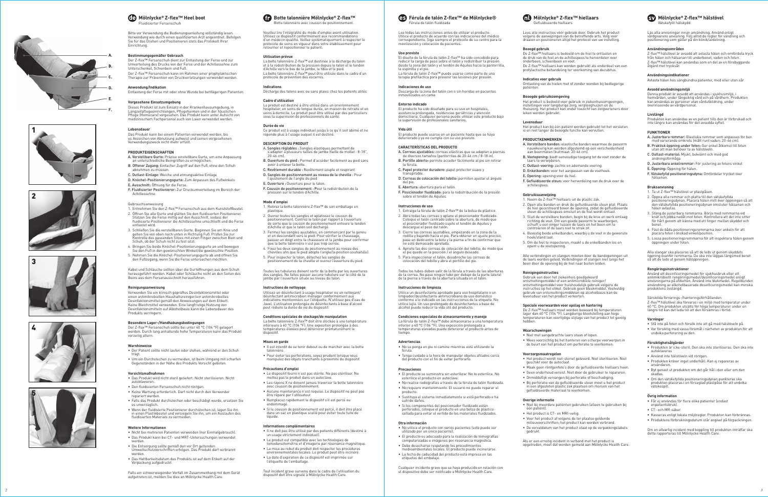

Bitte vor Verwendung die Bedienungsanleitung vollständig lesen. Verwendung wie durch einen qualifizierten Arzt angeordnet. Befolgen<br>Sie für das Drehen und Positionieren stets das Protokoll Ihrer Einrichtung.

## **Bestimmungsgemäßer Gebrauch**

Der Z-fl ex™ Fersenschuh dient zur Entlastung der Ferse und zur Umverteilung des Drucks von der Ferse und der Achillessehne zum Unterschenkel, Schienbein und Fuß. Der Z-flex™ Fersenschuh kann im Rahmen einer prophylaktischen Therapie zur Prävention von Druckverletzungen verwendet werden.

Dieses Produkt ist zum Einsatz in der Krankenhausumgebung, in<br>Langzeitpflegeeinrichtungen, Pflegeheimen und in der häuslichen Pflege (Homecare) vorgesehen. Das Produkt kann unter Aufsicht von medizinischem Fachpersonal auch von Laien verwendet werden.

**Anwendung/Indikation**

Entlastung der Ferse mit oder ohne Wunde bei bettlägerigen Patienten

## **Vorgesehene Einsatzumgebung**

#### **Lebensdauer**

Das Produkt kann bei einem Patienten verwendet werden, bis es Anzeichen von Abnutzung aufweist und seinen vorgesehenen Verwendungszweck nicht mehr erfüllt.

#### **PRODUKTEIGENSCHAFTEN**

- 1. Entnehmen Sie den Z-flex™ Fersenschuh aus dem Kunststoffbeutel.
- 2. Öffnen Sie alle Gurte und glätten Sie den fluidisierten Positionierer. Stützen Sie die Ferse mittig auf den Ausschnitt, sodass der fl uidisierte Positionierer die Achillessehne umschließt und die Ferse entlastet wird.
- 3. Schließen Sie die verstellbaren Gurte. Beginnen Sie am Knie und<br>gehen Sie von oben nach unten in Richtung Fuß. Prüfen Sie zur<br>Kontrolle des passenden Sitzes mit einen Finger zwischen Bein und Schuh, ob der Schuh nicht zu fest sitzt.
- 4. Bringen Sie beide Knöchel-Positionierungsgurte an und bewegen Sie den Fuß in den gewünschten Winkel/die gewünschte Position.
- 5. Nehmen Sie die Knöchel-Positionierungsgurte ab und öffnen Sie den Fußzugang, wenn Sie die Ferse untersuchen möchten.
- A. Verstellbare Gurte: Präzise einstellbare Gurte, um eine Anpassung an unterschiedliche Beingrößen zu ermöglichen.
- B. Offener Zugang: Einfacher Zugriff auf den Fuß, ohne den Schuh
- C. Outlast-Einlage: Weiche und atmungsaktive Einlage
- D. Knöchel-Positionierungsgurte: Zum Anpassen des Fußwinkels
- E. Ausschnitt: Öffnung für die Ferse.
- F. Fluidisierter Positionierer: Zur Druckumverteilung im Bereich der Achillessehne.

Der Z-flex™ Fersenschuh sollte bei unter 40 °C (104 °F) gelagert<br>werden. Durch lang anhaltende hohe Temperaturen kann das Produkt vorzeitig altern.

## Gebrauchsanweisung

- Das Produkt wird nicht steril geliefert. Nicht sterilisieren. Nicht autoklavieren.
- Den fluidisierten Fersenschuh nicht röntgen.
- Keine Wartung erforderlich. Darf nicht durch den Verwender repariert werden.
- Falls das Produkt durchstochen oder beschädigt wurde, ersetzen Sie es unverzüglich. • Wenn der fluidisierte Positionierer durchstochen ist, legen Sie ihn
- in einen Plastikbeutel und versiegeln Sie ihn, um ein Aŭslaufen des<br>fluidisierten Materials zu vermeiden.

#### **ES** Férula de talón Z-flex™ de Mölnlycke® Férula de talón fl uidizada

Kabel und Schläuche sollten über die Gurtöffnungen aus dem Schuh herausgeführt werden. Kabel oder Schläuche nicht an den Seiten des Beins aus dem Fersenausschnitt herausführen.

El diseño de la férula de talón Z-flex™ ha sido concebido para<br>reducir la carga de peso sobre el talón y redistribuir la presión desde la zona del talón y el tendón de Aquiles hacia la pantorrilla, la espinilla y el pie. La férula de talón Z-flex™ puede usarse como parte de una terapia profi láctica para prevenir las lesiones por presión.

#### **Reinigungsanweisung**

Verwenden Sie ein klinisch geprüftes Desinfektionsmittel oder einen antimikrobiellen Haushaltsreiniger/ein antimikrobielles Desinfektionsmittel gemäß den Anweisungen auf dem Etikett. Keine Bleichmittel verwenden. Eine langfristige Nutzung von Desinfektionsmitteln auf Alkoholbasis kann die Lebensdauer des Produkts verringern.

# **Besondere Lager-/Handhabungsbedingungen**

1. Extraiga la férula de talón Z-flex™ de la bolsa de plástico. 2. Abra todas las correas y aplane el posicionador fluidizado Coloque el talón centrado sobre la abertura, de modo que el posicionador fl uidizado sujete el tendón de Aquiles y

#### **Warnhinweise**

• Der Patient sollte nicht laufen oder stehen, während er den Schuh trägt. • Um ein Durchstechen zu vermeiden, ist beim Umgang mit scharfen Gegenständen in der Nähe des Produkts Vorsicht geboten.

#### **Vorsichtsmaßnahmen**

#### **Weitere Informationen**

• Sustituya el sistema inmediatamente si está perforado o ha sufrido daños. • Si los componentes del posicionador fluidizado están perforados, coloque el producto en una bolsa de plástico sellada para evitar el vertido de los materiales fluidizados.

- Nicht bei mehreren Patienten verwenden (nur Einmalgebrauch). • Das Produkt kann bei CT- und MRT-Untersuchungen verwendet werden.
- Die Entsorgung sollte gemäß den vor Ort geltenden Umweltschutzvorschriften erfolgen. Das Produkt darf verbrannt
- werden. • Das Haltbarkeitsdatum des Produkts ist auf dem Etikett auf der Verpackung aufgedruckt.

Falls ein schwerwiegender Vorfall im Zusammenhang mit dem Gerät aufgetreten ist, melden Sie dies an Mölnlycke Health Care.

Lea todas las instrucciones antes de utilizar el producto. Utilice el producto de acuerdo con las indicaciones del médico correspondiente. Siga siempre el protocolo de su centro para la movilización y colocación de pacientes.

#### **Uso previsto**

#### **Indicaciones de uso**

Descarga de la zona del talón con o sin heridas en pacientes inmovilizados en cama

**Entorno indicado**

El producto ha sido diseñado para su uso en hospitales, asistencia prolongada, residencias geriátricas y atención domiciliaria. Cualquier persona puede utilizar este producto bajo la supervisión de profesionales sanitarios.

**Vida útil**

El producto puede usarse en un paciente hasta que se haya deteriorado y ya no cumpla con su uso previsto. **CARACTERÍSTICAS DEL PRODUCTO**

A. Correas ajustables: correas elásticas que se adaptan a piernas de diversos tamaños (pantorrilas de 20-46 cm / 8-18 in). B. Portillo abierto: permite acceder fácilmente al pie sin retirar

la férula.

C. Papel protector duradero: papel protector suave y

transpirable.

D. Correas de colocación del tobillo: permiten ajustar el ángulo

F. Posicionador fluidizado: para la redistribuición de la presión

del pie.

E. Abertura: abertura para el talón.

sobre el tendón de Aquiles.

La botte talonnière Z-flex™ doit être stockée à une température<br>inférieure à 40 °C (104 °F). Une exposition prolongée à des températures élevées peut détériorer prématurément le dispositif.

**Instrucciones de uso**

descargue el peso del talón.

3. Cierre las correas ajustables, empezando en la zona de la rodilla y bajando hacia el pie. Para obtener un ajuste preciso, pase un dedo entre la bota y la pierna a fin de confirmar que .<br>no esté demasiado apretada. 4. Apriete las dos correas de colocación del tobillo, de modo que el pie quede en la posición / el ángulo deseado. 5. Para inspeccionar el talón, desabroche las correas de colocación del tobillo y abra el portillo del pie.

## **Mölnlycke® Z-flex™ hälstövel** Vätskefyllt hälskydd

Todos los tubos deben salir de la férula a través de las aberturas de la correa. No pase ningún tubo por debajo de la parte lateral de la pierna a través de la abertura situada en el talón.

**Instrucciones de limpieza**

Utilice un desinfectante aprobado para uso hospitalario o un limpiador/desinfectante antimicrobiano de uso doméstico conforme a lo indicado en las instrucciones de la etiqueta. No utilice lejía. Un uso prolongado de desinfectantes a base de alcohol puede reducir la vida útil del producto. **Condiciones especiales de almacenamiento y manejo**

La férula de talón Z-flex™ debe almacenarse a una temperatura<br>inferior a 40 °C (104 °F). Una exposición prolongada a<br>temperaturas elevadas puede deteriorar el producto antes de<br>tiempo.

- **FUNKTIONER**<br>A. Justerbara remmar: Elastiska remmar som annassas för ben A. Justerbara remmar: Elastiska remmar som anpassas för ben med varierande omkrets (mått runt vaden: 20-46 cm).
- B. Praktisk öppning under foten: Ger enkel åtkomst till foten utan att man behöver ta av hälstöveln.
- C. Outlast-material: Mjukt, bekvämt och med god andningsförmåga
- D. Justerbara ankelremmar: För justering av fotens vinkel
- E. Öppning: Öppning för hälen.
- F. Vätskefylld positioneringsdyna: Omfördelar trycket över hälsenan.

**Advertencias** 

• No se ponga en pie ni camine mientras esté utilizando la

férula.

• Tenga cuidado a la hora de manipular objetos afi lados cerca del producto con el fi n de evitar perforarlo.

- 1. Ta ut Z-flex™ hälstövel ur plastpåsen.
- 2. Öppna alla remmar och platta till den vätskefyllda positioneringsdynan. Placera hälen mitt över öppningen så att den vätskefyllda positioneringsdynan omsluter hälsenan och hälen avlastas.
- 3. Stäng de justerbara remmarna. Börja med remmarna vid<br>knät och jobba nedåt mot foten. Kontrollera att det inte sitter<br>för hårt genom att känna med ett finger mellan skyddet och benet.
- 4. Fäst de båda positioneringsremmarna över ankeln för att placera foten i önskad vinkel/position.
- 5. Lossa positioneringsremmarna för att inspektera hälen genom öppningen under foten.

**Precauciones** 

• El producto se suministra sin esterilizar. No lo esterilice. No esterilice el producto en autoclave. • No realice radiografías a través de la férula de talón fluidizada. • No requiere mantenimiento. El usuario no puede reparar el

Använd ett desinficeringsmedel för sjukhusbruk eller ett antimikrobiellt rengöringsmedel/desinfi ceringsmedel enligt anvisningarna på etiketten. Använd inte blekmedel. Regelbunden användning av alkoholbaserade desinficeringsmedel kan minska produktens livslängd.

Särskilda förvarings-/hanteringsförhållanden Z-flex™ hälstövel ska förvaras i en miljö med temperatur under<br>40 °C. Om produkten utsätts för höga temperaturer under en<br>längre tid kan det leda till att den försämras i förtid.

#### **Varninga**

producto.

**Otra información** 

• No utilice el producto con varios pacientes (solo puede ser

utilizado por un único paciente).

- Får ej användas för flera olika patienter (endast
- enpatientsbruk). • CT- och MR-säker.
- 
- Kasseras enligt lokala miljöregler. Produkten kan förbrännas. • Produktens förbrukningsdatum står angivet på förpackningen.

• El producto es adecuado para la realización de tomografías computarizadas e imágenes por resonancia magnética. • Debe desecharse respetando los procedimientos medioambientales locales. El producto puede incinerarse. • La fecha de caducidad del producto está impresa en las

Lees alle instructies vóór gebruik door. Gebruik het product volgens de aanwijzingen van de betreffende arts. Volg voor<br>draaien en positioneren altijd het protocol van uw instelling.

etiquetas del embalaje.

Cualquier incidente grave que se haya producido en relación con el dispositivo debe ser notifi cado a Mölnlycke Health Care.



Botte talonnière avec coussin de positionnement.

Veuillez lire l'intégralité du mode d'emploi avant utilisation. Utilisez ce dispositif conformément aux recommandations<br>d'un médecin qualifié. Veillez systématiquement à respecter le protocole de soins en vigueur dans votre établissement pour retourner et repositionner le patient.

#### **Utilisation prévue**

La botte talonnière Z-fl ex™ est destinée à la décharge du talon et à la redistribution de la pression depuis le talon et le tendon<br>d'Achille vers le bas de la jambe, le tibia et le pied. La botte talonnière Z-flex™ peut être utilisée dans le cadre d'un protocole de prévention des escarres.

# **Indications**

Décharge des talons avec ou sans plaies chez les patients alités

# **Cadre d'utilisation**

Le produit est destiné à être utilisé dans un environnement hospitalier, en soins de longue durée, en maison de retraite et en soins à domicile. Le produit peut être utilisé par des particuliers sous la supervision de professionnels de santé.

> Gebruik een door het ziekenhuis goedgekeurd<br>ontsmettingsmiddel of een antimicrobiële reiniger/<br>ontsmettingsmiddel voor huishoudelijk gebruik volgens de<br>instructies op het etiket. Gebruik geen bleekmiddel. Veelvuldig gebruik van ontsmettingsmiddelen op alcoholbasis kan de levensduur van het product verkorten.

**Speciale voorwaarden voor opslag en hantering**<br>De Z-flex™ hiellaars moet worden bewaard bij temperaturen<br>lager dan 40 °C (104 °F). Langdurige blootstelling aan hoge<br>temperaturen kan voortijdige slijtage van het product to

#### **Durée de vie**

Ce produit est à usage individuel jusqu'à ce qu'il soit abimé et ne réponde plus à l'usage auquel il est destiné.

#### **DESCRIPTION DU PRODUIT**

A. **Sangles réglables :** Sangles élastiques permettant de<br>s'adapter à plusieurs tailles de jambe (taille de mollet : 8-18",<br>20-46 cm).

• Maak geen röntgenfoto's door de gefluïdiseerde hiellaars heen. • Geen onderhoud vereist. Niet door de gebruiker te repareren.

- 
- B. Ouverture du pied : Permet d'accéder facilement au pied sans
- avoir à enlever la botte. C. Revêtement durable : Revêtement souple et respirant
- 
- D. Sangles de positionnement au niveau de la cheville : Pour l'ajustement de l'angle du pied
- E. Ouverture : Ouverture pour le talon.
- F. Coussin de positionnement : Pour la redistribution de la<br>pression sur le tendon d'Achille.
- 
- **Mode d'emploi** 1. Retirez la botte talonnière Z-flex™ de son emballage en plastique.
- 2. Ouvrez toutes les sangles et aplatissez le coussin de positionnement. Centrez le talon par rapport à l'ouverture de sorte que le coussin de positionnement entoure le tendon d'Achille et que le talon soit déchargé.
- 3. Fermez les sangles ajustables, en commençant par le genou<br>et en descendant vers le pied. Pour vérifier le chaussage,<br>passez un doigt entre la chaussure et la jambe pour confirmer<br>que la botte talonnière n'est pas trop s
- 4. Fixez les deux sangles de positionnement au niveau des chevilles afin que le pied adopte l'angle/la position souhaité(e).
- 5. Pour inspecter le talon, détachez les sangles de positionnement de la cheville et ouvrez l'ouverture du pied.

Toutes les tubulures doivent sortir de la botte par les ouvertures des sangles. Ne faites passer aucune tubulure sur le côté de la jambe par l'ouverture située au niveau du talon.

#### **Instructions de nettoyage**

Utilisez un désinfectant à usage hospitalier ou un nettoyant/ désinfectant antimicrobien ménager conformément aux indications mentionnées sur l'étiquette. N'utilisez pas d'eau de Javel. L'utilisation prolongée de désinfectants à base d'alcool peut réduire la durée de vie du dispositif.

## **Conditions spéciales de stockage/de manipulation**

## **Mises en garde**

- Il est interdit de se tenir debout ou de marcher avec la botte talonnière.
- Pour éviter les perforations, soyez prudent lorsque vous manipulez des objets tranchants à proximité du dispositif.

## **Précautions d'emploi**

- Le dispositif fourni n'est pas stérile. Ne pas stériliser. Ne mettez pas le produit dans un autoclave
- Les rayons X ne doivent jamais traverser la botte talonnière avec coussin de positionnement.
- Aucune maintenance n'est requise. Le dispositif ne peut pas être réparé par l'utilisateu
- Remplacez rapidement le dispositif s'il est percé ou
- endommagé. • Si le coussin de positionnement est percé, il doit être placé dans un sac en plastique scellé pour éviter toute fuite de
	-
- **Informations complémentaires** • Il ne doit pas être utilisé par des patients différents (destiné à
- un usage strictement individuel). • Le produit est compatible avec les technologies de
- tomodensitométrie et d'imagerie par résonance magnétique. • La mise au rebut du produit doit respecter les procédures
- environnementales locales. Le produit peut être incinéré.
- La date d'expiration de ce dispositif est imprimée sur l'étiquette de l'emballage.

liquide.

Tout incident grave survenu dans le cadre de l'utilisation du dispositif doit être signalé à Mölnlycke Health Care.













Läs alla anvisningar innan användning. Använd enligt vårdgivarens anvisning. Följ alltid de regler för vändning och positionering som gäller på din klinik/avdelning.

## **Användningsområden**

Z-fl ex™ hälstövel är avsedd att avlasta hälen och omfördela tryck från hälen och hälsenan till underbenet, vaden och foten. Z-flex™ hälstövel kan användas som en del av en förebyggande åtgärd mot trycksår.

## **Användningsindikationer**

Avlasta hälen hos sängbundna patienter, med eller utan sår

## **Avsedd användningsmiljö**

Denna produkt är avsedd att användas i sjukhusmiljö, i hemvården, under långsiktig vård och på vårdhem. Produkten kan användas av personer utan vårdutbildning, under överinseende av vårdpersonal.

## **Livslängd**

Produkten kan användas av en patient tills den är förbrukad och inte längre kan användas för det avsedda syftet.

## **Bruksanvisning**

Alla slangar ska placeras så att de leds ut genom skyddets öppning ovanför remmarna. De ska inte läggas längsmed benet så att de leds ut genom hälöppningen.

#### **Rengöringsinstruktioner**

- Stå inte på foten och försök inte att gå med hälstöveln på.
- Var försiktig med vassa föremål i närheten av produkten för att undvika perforering av den.

## **Försiktighetsåtgärder**

- Produkten är icke-steril. Den ska inte steriliseras. Den ska inte autoklaveras
- Använd inte hälstöveln vid röntgen.
- Produkten kräver inget underhåll. Kan ej repareras av användaren.
- Byt genast ut produkten om det går hål i den eller om den skadas.
- Om den vätskefyllda positioneringsdynan punkteras ska produkten placeras i en förseglad plastpåse för att undvika vätskespill.

#### **Övrig information**

Om en allvarlig incident med koppling till produkten inträffar ska detta rapporteras till Mölnlycke Health Care.

# **Mölnlycke ® Z-fl ex™ hiellaars**

Gefl uïdiseerde hiellaars

**Beoogd gebruik**

De Z-fl ex™ hiellaars is bedoeld om de hiel te ontlasten en de druk van de hiel en de achillespees te herverdelen over onderbeen, scheenbeen en voet.

De Z-flex™ hiellaars kan worden gebruikt als onderdeel van een<br>profylactische behandeling ter voorkoming van decubitus.

**Indicaties voor gebruik**<br>Ontlasting van de hielen met of zonder wonden bij bedlegerige<br>patiënten

## **Beoogde gebruiksomgeving**

Het product is bedoeld voor gebruik in ziekenhuisomgevingen, instellingen voor langdurige zorg, verpleeghuizen en de thuiszorg. Het product kan onder toezicht van zorgverleners door

leken worden gebruikt.

**Levensduur**

Het product kan bij één patiënt worden gebruikt tot het versleten is en niet langer de beoogde functie kan vervullen.

**PRODUCTKENMERKEN**

A. Verstelbare banden: elastische banden waarmee de pasvorm nauwkeurig kan worden afgestemd op een verscheidenheid aan beenmaten (kuitmaat: 20-46 cm).

B. Voetopening: biedt eenvoudige toegang tot de voet zonder de

laars te verwijderen.

C. Outlast-voering: zachte en ademende voering.

D. Enkelbanden: voor het aanpassen van de voethoek.

E. Opening: opening voor de hiel.

F. Gefl uïdiseerde steun: voor herverdeling van de druk over de

**Gebruiksaanwijzing**<br>1. Neem de Z-flex™ hiellaars uit de plastic zak.

2. Open alle banden en druk de gefluïdiseerde steun plat. Plaats de hiel gecentreerd boven de opening, zodat de gefluïdiseerde<br>steun de achillespees omsluit en de hiel wordt ontlast.

achillespees.

3. Sluit de verstelbare banden; begin bij de knie en werk omlaag

richting de voet. Om een goede pasvorm te waarborgen, schuift u een vinger tussen de laars en het been om te controleren of de laars niet te strak zit.

4. Bevestig beide enkelbanden, waarbij u de voet in de gewenste

hoek/stand laat.

5. Om de hiel te inspecteren, maakt u de enkelbanden los en opent u de voetopening.

Alle verbindingen en slangen moeten door de bandopeningen uit de laars worden geleid. Verbindingen of slangen niet langs het been door de opening bij de hiel naar buiten leiden.

**Reinigingsinstructies**

**Waarschuwingen** 

• Niet met aangebrachte laars staan of lopen.

• Wees voorzichtig bij het hanteren van scherpe voorwerpen in de buurt van het product om perforatie te voorkomen.

**Voorzorgsmaatregelen** 

• Het product wordt niet-steriel geleverd. Niet steriliseren. Niet geschikt voor de autoclaaf.

• Onmiddellijk vervangen bij perforatie of beschadiging. • Bij perforatie van de gefl uïdiseerde steun moet u het product in een afgesloten plastic zak plaatsen om morsen van het gefl uïdiseerde materiaal te voorkomen.

**Overige informatie** 

• Niet bij meerdere patiënten gebruiken (alleen te gebruiken bij

één patiënt).

• Het product is CT- en MRI-veilig.

• Voer het product af volgens de ter plaatse geldende milieuvoorschriften; het product kan worden verbrand.

• De vervaldatum van het product staat op de verpakkingslabels

gedrukt.

Als er een ernstig incident in verband met het product is opgetreden, moet dat worden gemeld aan Mölnlycke Health Care.



*2*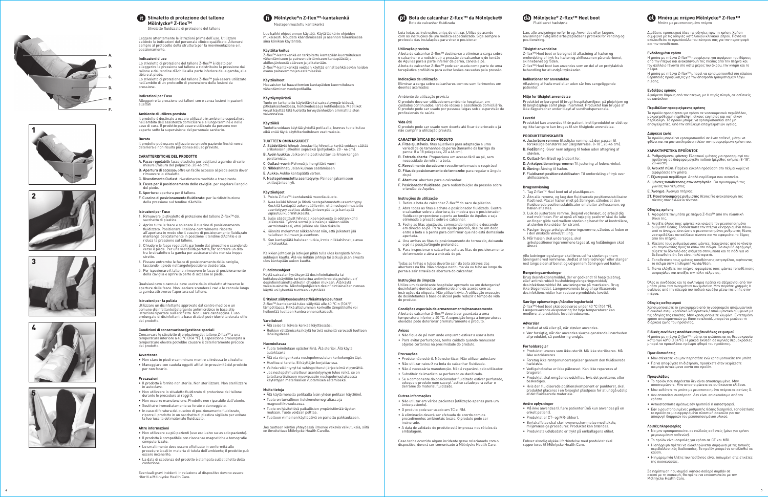Leggere attentamente le istruzioni prima dell'uso. Utilizzare secondo le indicazioni del personale clinico qualificato. Attenersi sempre al protocollo della struttura per la movimentazione e il posizionamento.

Lo stivaletto di protezione del tallone Z-flex™ è ideato per alleggerire la pressione sul tallone e ridistribuire la pressione dal tallone e dal tendine d'Achille alla parte inferiore della gamba, alla tibia e al piede.

#### **Indicazioni d'uso**

Lo stivaletto di protezione del tallone Z-flex™ può essere utilizzato<br>nell'ambito di un protocollo di prevenzione delle lesioni da pressione.

Il prodotto è destinato a essere utilizzato in ambiente ospedaliero,<br>nell'ambito dell'assistenza domiciliare e a lungo termine e nelle<br>case di cura. Il prodotto può essere utilizzato da persone non esperte sotto la supervisione del personale sanitario.

- A. Fasce regolabili: fasce elastiche per adattarsi a gambe di varie misure (misura del polpaccio: 20-46 cm). B: Apertura di accesso: offre un facile accesso al piede senza dover rimuovere lo stivaletto.
- C. Rivestimento Outlast: rivestimento morbido e traspirante.
- D. Fasce per il posizionamento delle caviglie: per regolare l'angolo del piede.
- E. Apertura: apertura per il tallone.
	- F. Cuscino di posizionamento fluidizzato: per la ridistribuzione<br>della pressione sul tendine d'Achille.

#### **Indicazioni per l'uso**

Alleggerire la pressione sui talloni con o senza lesioni in pazienti allettati

## **Ambiente di utilizzo previsto**

## **Durata**

Il prodotto può essere utilizzato su un solo paziente finché non si<br>deteriora e non risulta più idoneo all'uso previsto.

#### **CARATTERISTICHE DEL PRODOTTO**

- 1. Rimuovere lo stivaletto di protezione del tallone Z-flex™ dal<br>sacchetto di plastica.
- 2. Aprire tutte le fasce e spianare il cuscino di posizionamento fluidizzato. Posizionare il tallone centralmente rispetto all'apertura in modo che il cuscino di posizionamento fluidizzato<br>mantenga delicatamente in posizione il tendine d'Achille e si riduca la pressione sul tallone.
- 3. Chiudere le fasce regolabili, partendo dal ginocchio e scendendo verso il piede. Per una vestibilità perfetta, far scorrere un dito tra lo stivaletto e la gamba per assicurarsi che non sia troppo
- stretto. 4. Fissare entrambe le fasce di posizionamento della caviglia, lasciando il piede nell'angolo/posizione desiderata.
- 5. Per ispezionare il tallone, rimuovere le fasce di posizionamento della caviglia e aprire la parte di accesso al piede.

Conservare lo stivaletto di protezione del tallone Z-flex™ a una<br>temperatura inferiore a 40 °C (104 °F). L'esposizione prolungata a temperature elevate potrebbe causare il deterioramento precoce del prodotto.

#### **Istruzioni per l'uso**

- Il prodotto è fornito non sterile. Non sterilizzare. Non sterilizzare in autoclave. • Non utilizzare lo stivaletto fluidizzato di protezione del tallone
- durante le procedure ai raggi X. • Non occorre manutenzione. Prodotto non riparabile dall'utente.
- Sostituire immediatamente se forato o danneggiato.
- In caso di foratura del cuscino di posizionamento fluidizzato,
- riporre il prodotto in un sacchetto di plastica sigillato per evitare<br>la fuoriuscita del materiale fluidizzato.

A bota de calcanhar Z-fl ex™ destina-se a eliminar a carga sobre o calcanhar e a redistribuir a pressão do calcanhar e do tendão de Aquiles para a parte inferior da perna, canela e pé. A bota de calcanhar Z-flex™ pode ser usada como parte de uma<br>terapêutica profilática para evitar lesões causadas pela pressão.

Qualsiasi cavo o cannula deve uscire dallo stivaletto attraverso le aperture delle fasce. Non lasciare scendere i cavi e le cannule lungo la gamba attraverso l'apertura sul tallone. **CARACTERÍSTICAS DO PRODUTO** variedade de tamanhos da perna (tamanho da barriga da

#### **Istruzioni per la pulizia**

Utilizzare un disinfettante approvato dal centro medico o un comune disinfettante/detergente antimicrobico in base alle istruzioni riportate sull'etichetta. Non usare candeggina. L'uso prolungato di disinfettanti a base di alcol può ridurre la durata utile del prodotto.

# **Condizioni di conservazione/gestione speciali**

#### **Avvertenze**

Todas as linhas e tubos deverão sair da bota através das aberturas na fita. Não coloque nenhuma via ou tubo ao longo da

- Non stare in piedi o camminare mentre si indossa lo stivaletto. • Maneggiare con cautela oggetti affi lati in prossimità del prodotto
- per non forarlo.

## **Precauzioni**

• Não fique de pé nem ande enquanto estiver a usar a bota. • Para evitar perfurações, tenha cuidado quando manusear objetos cortantes na proximidade do produto.

## **Altre informazioni**

- Non utilizzare su più pazienti (uso esclusivo su un solo paziente). • Il prodotto è compatibile con risonanze magnetiche e tomografie computerizzate.
- Lo smaltimento deve essere effettuato in conformità alle procedure locali in materia di tutela dell'ambiente; il prodotto può essere incenerito.
- La data di scadenza del prodotto è stampata sull'etichetta della confezione.

## **Mölnlycke® Z-flex™ Heel boot** Fluidiseret hælstøvle

Eventuali gravi incidenti in relazione al dispositivo devono essere riferiti a Mölnlycke Health Care.

Leia todas as instruções antes de utilizar. Utilize de acordo com as instruções de um médico especializado. Siga sempre o protocolo das instalações para virar e posicionar.

#### **Utilização prevista**

## **Indicações de utilização**

Eliminar a carga sobre calcanhares com ou sem ferimentos em doentes acamados

Ambiente de utilização prevista

O produto deve ser utilizado em ambiente hospitalar, em cuidados continuados, lares de idosos e assistência domiciliária. O produto pode ser usado por pessoas leigas sob a supervisão de

profi ssionais de saúde.

**Vida útil**

O produto pode ser usado num doente até fi car deteriorado e já

não cumprir a utilização prevista.

Z-flex™ Heel boot skal opbevares under 40 °C (104 °F). Længerevarende eksponering for høje temperaturer kan medføre, at produktets levetid reduceres.

perna: 8 a 18 polegadas, 20 a 46 cm).

B. Entrada aberta: Proporciona um acesso fácil ao pé, sem necessidade de retirar a bota. C. Revestimento duradouro: revestimento macio e respirável D. Fitas de posicionamento do tornozelo: para regular o ângulo

F. Posicionador fluidizado: para redistribuição da pressão sobre

1. Retire a bota de calcanhar Z-flex™ do saco de plástico. 2. Abra todas as fitas e achate o posicionador fluidizado. Centre o calcanhar sobre a abertura, de modo a que o posicionador fluidizado proporcione suporte ao tendão de Aquiles e seja

do pé

E. Abertura: abertura para o calcanhar.

o tendão de Aquiles. **Instruções de utilização**

eliminada a pressão sobre o calcanhar.

3. Feche as fi tas ajustáveis, começando no joelho e descendo em direção ao pé. Para um ajuste preciso, deslize um dedo entre a bota e a perna para confi rmar que não está demasiado

apertada.

4. Una ambas as fi tas de posicionamento do tornozelo, deixando

o pé na posição/ângulo pretendido.

5. Para inspecionar o calcanhar, solte as fi tas de posicionamento do tornozelo e abra a entrada do pé.

perna a sair através da abertura do calcanhar.

**Instruções de limpeza**

Utilize um desinfetante hospitalar aprovado ou um detergente/ desinfetante doméstico antimicrobiano de acordo com as instruções da etiqueta. Não utilize lixívia. A utilização excessiva de desinfetantes à base de álcool pode reduzir o tempo de vida

do produto.

**Condições especiais de armazenamento/manuseamento** A bota de calcanhar Z-flex™ deverá ser guardada a uma<br>temperatura inferior a 40 °C. A exposição longa a temperaturas temperatura inferior a 40 °C. A exposição longa a temperaturas elevadas pode deteriorar prematuramente o produto.

**Avisos** 

**Precauções** 

derrame do material fluidizado

• Produto não estéril. Não esterilizar. Não utilizar autoclave • Não utilizar raios-X na bota de calcanhar fluidizada • Não é necessária manutenção. Não é reparável pelo utilizador. • Substituir de imediato se perfurado ou danificado. • Se o componente do posicionador fluidizado estiver perfurado, coloque o produto num saco pl´astico selado para evitar o

Διαβάστε προσεκτικά όλες τις οδηγίες πριν τη χρήση. Χρήση<br>σύμφωνα με τις οδηγίες κατάλληλου κλινικού ιατρού. Πάντα να<br>ακολουθείτε το πρωτόκολλο του κέντρου σας για την περιστροφή και την τοποθέτηση.

**Outras informações** 

• Não utilizar em vários pacientes (utilização apenas para um

Η μπότα με πτέρνα Z-flex™ προορίζεται για αφαίρεση του βάρους<br>από την πτέρνα και ανακατανομή της πίεσης από την πτέρνα και<br>τον αχίλλειο τένοντα στο κάτω μέρος του άκρου, την κνήμη και το πέλμα.

único paciente).

• O produto pode ser usado em TC e IRM. • A eliminação deverá ser efetuada de acordo com os procedimentos ambientais locais. O produto pode ser

incinerado.

embalagem

• A data de validade do produto está impressa nos rótulos da

Caso tenha ocorrido algum incidente grave relacionado com o dispositivo, deverá ser comunicado à Mölnlycke Health Care.

Læs alle anvisningerne før brug. Anvendes efter lægens anvisninger. Følg altid arbejdspladsens protokol for vending og positionering.

Z-flex™ Heel boot er beregnet til aflastning af hælen og<br>omfordeling af tryk fra hælen og akillessenen på underbenet,

Z-flex™ Heel boot kan anvendes som en del af en profylaktisk<br>behandling for at undgå trykskader.

**Tilsigtet anvendelse**

skinnebenet og foden.

**Indikationer for anvendelse**

Afl astning af hæle med eller uden sår hos sengeliggende

patienter.

- 1. Αφαιρέστε την μπότα με πτέρνα Z-flex™ από την πλαστική<br>θήκη της.
- 2. Ανοίξτε όλους τους ιμάντες και ισιώστε τον ρευστοποιημένο ρυθμιστή θέσης. Τοποθετήστε την πτέρνα κεντραρισμένη πάνω από το άνοιγμα, έτσι ώστε ο ρευστοποιημένος ρυθμιστής θέσης να περιβάλλει τον αχίλλειο τένοντα και να αφαιρείται το βάρος από την πτέρνα.
- 3. Κλείστε τους ρυθμιζόμενους ιμάντες, ξεκινώντας από το γόνατο και πηγαίνοντας προς τα κάτω στο πέλμα. Για ακριβή εφαρμογή, σύρετε το δάχτυλό σας ανάμεσα στην μπότα και το πόδι για να βεβαιωθείτε ότι δεν είναι πολύ σφιχτή.
- 4. Τοποθετήστε τους ιμάντες τοποθέτησης αστραγάλου, αφήνοντας το πέλμα στην επιθυμητή γωνία/θέση.
- 5. Για να ελέγξετε την πτέρνα, αφαιρέστε τους ιμάντες τοποθέτησης αστραγάλου και ανοίξτε την πύλη πέλματος.

## **Miljø for tilsigtet anvendelse**

Produktet er beregnet til brug i hospitalsmiljøer, på plejehjem og<br>til langtidspleje samt pleje i hjemmet. Produktet kan bruges af<br>ikke-fagpersoner under tilsyn af sundhedspersonale.

**Levetid**

Χρησιμοποιείστε το εγκεκριμένο από το νοσοκομείο απολυμαντικό<br>ή οικιακό αντιμικροβιακό καθαριστικό / απολυμαντικό σύμφωνα με<br>τις οδηγίες της ετικέτας. Μην χρησιμοποιείτε χλωρίνη. Εκτεταμένη χρήση απολυμαντικών με βάση το αλκοόλ μπορεί να μειώσει τη διάρκεια ζωής του προϊόντος.

Produktet kan anvendes til én patient, indtil produktet er slidt op og ikke længere kan bruges til sin tilsigtede anvendelse.

> Η μπότα με πτέρνα Z-flex™ πρέπει να φυλάσσεται σε θερμοκρασία<br>κάτω των 40°C (104°F). Η μακρά έκθεση σε υψηλές θερμοκρασίες μπορεί να προκαλέσει πρόωρη φθορά του προϊόντος.

**PRODUKTEGENSKABER** forskellige benstørrelser (lægstørrelse: 8-18", 20-46 cm) B. Fodåbning: Giver nem adgang til foden uden aftagning af

støvlen.

C. Outlast-for: Blødt og åndbart for.

D. Ankelpositioneringsremme: Til justering af fodens vinkel. E. Åbning: Åbning til hælen.

F. Fluidiseret positionsstabilisator: Til omfordeling af tryk over

. Tag Z-flex™ Heel boot ud af plastikposen.

2. Åbn alle remme, og læg den fluidiserede positionsstabilisator fladt ned. Placer hælen midt på åbningen, således at den<br>fluidiserede positionsstabilisator omslutter akillessenen, og

akillessenen. **Brugsanvisning**

hælen aflastes.

3. Luk de justerbare remme. Begynd ved knæet, og arbejd dig ned mod foden. For at opnå en nøjagtig pasform skal du lade en fi nger glide ned mellem støvlen og benet for at kontrollere, at støvlen ikke sidder for stramt.

4. Fastgør begge ankelpositioneringsremme, således at foden er i den ønskede vinkel/stilling.

5. Når hælen skal undersøges, skal<br>ankelpositioneringsremmene tages af, og fodåbningen skal<br>åbnes.

Alle ledninger og slanger skal føres ud fra støvlen gennem<br>åbningerne ved remmene. Undlad at føre ledninger eller slanger<br>ned langs siden af benet og ud gennem åbningen ved hælen.

Brug desinfektionsmiddel, der er godkendt til hospitalsbrug,<br>eller antimikrobielt husholdningrengøringsmiddel/<br>desinfektionsmiddel iht. anvisningerne på mærkaten. Brug<br>ikke blegemiddel. Længerevarende brug af spritbaserede

**Rengøringsanvisninger**

## **Særlige opbevarings-/håndteringsforhold**

**Advarsler** 

• Undlad at stå eller gå, når støvlen anvendes.

• Vær forsigtig, når der anvendes skarpe genstande i nærheden af produktet, så punktering undgås.

**Forholdsregler** 

• Produktet leveres som ikke-sterilt. Må ikke steriliseres. Må

• Foretag ikke røntgenundersøgelser gennem den fluidiserede

ikke autoklaveres.

hælstøvle.

• Vedligeholdelse er ikke påkrævet. Kan ikke repareres af

brugeren.

• Produktet skal omgående udskiftes, hvis det punkteres eller

• Hvis den fluidiserede positionskomponent er punkteret, skal produktet placeres i en forseglet plastpose for at undgå udslip<br>af det fluidiserede materiale.

• Må ikke anvendes til flere patienter (må kun anvendes på en

beskadiges.

**Andre oplysninger** 

enkelt patient).

• Produktet er CT- og MR-sikkert.

• Bortskaffelse skal ske i overensstemmelse med lokale, miljømæssige procedurer. Produktet kan brændes. • Produktets udløbsdato er trykt på emballagens etiket.

Enhver alvorlig ulykke i forbindelse med produktet skal rapporteres til Mölnlycke Health Care.



# **Μπότα με πτέρνα Mölnlycke® Z-flex™**

# **Mölnlycke ®n Z-fl ex™-kantakenkä**

Nestepehmustettu kantakenkä

Lue kaikki ohjeet ennen käyttöä. Käytä lääkärin ohjeiden mukaisesti. Noudata kääntämisessä ja asennon tukemisessa aina klinikan käytäntöä.

## **Käyttötarkoitus**

Z-fl ex™-kantakenkä on tarkoitettu kantapään kuormituksen vähentämiseen ja paineen siirtämiseen kantapäästä ja akillesjänteestä sääreen ja jalkaterään. Z-flex™-kantakenkää voidaan käyttää ennaltaehkäisevän hoidon osana painevammojen estämisessä.

#### **Käyttöaiheet**

Haavaisten tai haavattomien kantapäiden kuormituksen vähentäminen vuodepotilailla.

## **Käyttöympäristö**

Tuote on tarkoitettu käytettäväksi sairaalaympäristössä, pitkäaikaishoidossa, hoitokodeissa ja kotihoidossa. Maallikot voivat käyttää tätä tuotetta terveydenhoidon ammattilaisten valvonnassa.

#### **Käyttöikä**

Tuotetta voidaan käyttää yhdellä potilaalla, kunnes tuote kuluu eikä enää täytä käyttötarkoituksen vaatimuksia.

## **TUOTTEEN OMINAISUUDET**

- A. Säädettävät hihnat: Joustavilla hihnoilla kenkä voidaan säätää erikokoisiin jalkoihin sopivaksi (pohjekoko: 20 - 46 cm). B. Avoin luukku: Jalka on helposti ulottuvilla ilman kengän
- poistamista.
- C. Outlast-vuori: Pehmeä ja hengittävä vuori D. Nilkkahihnat: Jalan kulman säätämiseen
- E. Aukko: Aukko kantapäätä varten.
- F. Nestepehmustettu asentotyyny: Paineen jakamiseen
- akillesjänteen yli.

## **Käyttöohjeet**

- 1. Poista Z-fl ex™-kantakenkä muovilaukusta.
- 2. Avaa kaikki hihnat ja litistä nestepehmustettu asentotyyny. Keskitä kantapää aukon päälle niin, että nestepehmustettu asentotyyny asettuu akillesjänteen päälle ja kantapää vapautuu kuormituksesta.
- 3. Sulje säädettävät hihnat alkaen polvesta ja edeten kohti jalkaterää. Työnnä sormi jalkineen ja säären väliin varmistaaksesi, ettei jalkine ole liian tiukalla.
- 4. Kiinnitä molemmat nilkkahihnat niin, että jalkaterä jää haluttuun kulmaan ja asentoon.
- 5. Kun kantapäätä halutaan tutkia, irrota nilkkahihnat ja avaa jalkaluukku.

Kaikkien johtojen ja letkujen pitää tulla ulos kengästä hihna-aukkojen kautta. Älä vie mitään johtoja tai letkuja jalan sivusta ulos kantapään aukon kautta.

#### **Puhdistusohjeet**

Käytä sairaalan hyväksymää desinfiointiainetta tai<br>kotitalouskäyttöön tarkoitettua antimikrobista puhdistus-/ desinfiointiainetta etiketin ohjeiden mukaan. Älä käytä<br>valkaisuainetta. Alkoholinohjaisten desinfiointiaineiden runsas valkaisuainetta. Alkoholipohjaisten desinfiointiaineiden runsas<br>käyttö voi lyhentää tuotteen käyttöikää.

## **Erityiset säilytysolosuhteet/käsittelyolosuhteet**

Z-fl ex™-kantakenkä tulee säilyttää alle 40 °C:n (104°F) lämpötilassa. Pitkä altistuminen korkeille lämpötiloille voi heikentää tuotteen kuntoa ennenaikaisesti.

### **Varoitukset**

• Älä seiso tai kävele kenkää käyttäessäsi.

• Reikien välttämiseksi käytä teräviä esineitä varovasti tuotteen läheisyydessä.

## **Huomioitavaa**

• Tuote toimitetaan epästeriilinä. Älä steriloi. Älä käytä autoklaavia

- Älä ota röntgenkuvia nestepehmustetun korkokengän läpi.
- Huoltoa ei tarvita. Ei käyttäjän korjattavissa.
- Vaihda reikiintynyt tai vahingoittunut järjestelmä viipymättä.
- Jos nestepehmustettuun asentotyynyyn tulee reikä, se on laitettava tiiviiseen muovipussiin nestepehmustuksessa käytettyjen materiaalien vuotamisen estämiseksi.

## **Muita tietoja**

- Älä käytä monella potilaalla (vain yhden potilaan käyttöön).
- Tuote on turvallinen tietokonetomografiassa ja
- magneettikuvauksessa.
- Tuote on hävitettävä paikallisten ympäristömääräysten
- mukaan. Tuote voidaan polttaa. • Tuotteen viimeinen käyttöpäivä on painettu pakkaukseen.
- 

Jos tuotteen käytön yhteydessä ilmenee vakavia vaikutuksia, siitä on ilmoitettava Mölnlycke Health Carelle.

## $\bullet$  **Bota de calcanhar Z-flex™ da Mölnlycke®** .<br>Bota de calcanhar fluidizada

Μπότα με ρευστοποιημένη πτέρνα

## **Ενδεδειγμένη χρήση**

Η μπότα με πτέρνα Z-fl ex™ μπορεί να χρησιμοποιηθεί στο πλαίσιο θεραπείας προφύλαξης για την αποτροπή τραυματισμών λόγω πίεσης.

## **Ενδείξεις χρήσης**

Αφαίρεση βάρους από την πτέρνα, με ή χωρίς πληγή, σε ασθενείς σε κατάκλιση

## **Περιβάλλον προοριζόμενης χρήσης**

Το προϊόν προορίζεται για χρήση σε νοσοκομειακό περιβάλλον, μακροπρόθεσμη περίθαλψη, οίκους ευγηρίας και κατ' οίκον περίθαλψη. Το προϊόν μπορεί να χρησιμοποιηθεί από μη επαγγελματίες, υπό την επίβλεψη επαγγελματιών υγείας.

#### **Διάρκεια ζωής**

Το προϊόν μπορεί να χρησιμοποιηθεί σε έναν ασθενή, μέχρι να φθίνει και να μην εκπληρώνει πλέον την προοριζόμενη χρήση του.

- **ΧΑΡΑΚΤΗΡΙΣΤΙΚΑ ΠΡΟΪΟΝΤΟΣ Α. Ρυθμιςόμενοι ιμάντες:** Ελαστικοί ιμάντες για προσαρμογή του<br>προϊόντος σε διάφορα μεγέθη ποδιού (μέγεθος κνήμης: 8-18",<br>20-46cm).
- Β. Ανοικτή πύλη: Παρέχει εύκολη πρόσβαση στο πέλμα χωρίς να αφαιρέσετε την μπότα.
- Γ. Εξωτερικό περίβλημα: Απαλό περίβλημα που αναπνέει.
- Δ. Ιμάντες τοποθέτησης στον αστράγαλο: Για προσαρμογή της γωνίας του πέλματος
- Ε. Άνοιγμα: Άνοιγμα πτέρνας.
- ΣΤ. Ρευστοποιημένος ρυθμιστής θέσης Για ανακατανομή της πίεσης στον αχίλλειο τένοντα.

## **Οδηγίες χρήσης**

Όλες οι συνδέσεις και τα σωληνάρια πρέπει να εξέρχονται από την μπότα μέσω των ανοιγμάτων των ιμάντων. Μην περνάτε γραμμές ή σωλήνες από την πλευρά του ποδιού και έξω μέσω της οπής στην πτέρνα.

## **Οδηγίες καθαρισμού**

## **Ειδικές συνθήκες αποθήκευσης/συνθήκες χειρισμού**

#### **Προειδοποιήσεις**

- Μην στέκεστε και μην περπατάτε ενώ χρησιμοποιείτε την μπότα. • Για να αποφύγετε τη διάτρηση, προσέχετε όταν χειρίζεστε
- αιχμηρά αντικείμενα κοντά στο προϊόν.

#### **Προφυλάξεις**

- Το προϊόν που παρέχεται δεν είναι αποστειρωμένο. Μην αποστειρώνετε. Μην αποστειρώνετε σε αυτόκαυστο κλίβανο.
- Μην εκθέτετε τη μπότα με ρευστοποιημένη πτέρνα σε ακτίνες Χ.
- Δεν απαιτείται συντήρηση. Δεν είναι επισκευάσιμο από τον χρήστη.
- Αντικαταστήστε αμέσως εάν τρυπηθεί ή καταστραφεί.
- Εάν ο ρευστοποιημένος ρυθμιστής θέσης διατρηθεί, τοποθετήστε το προϊόν σε μια σφραγισμένη πλαστική σακούλα για την αποφυγή διαρροών του ρευστοποιημένου υλικού.

#### **Λοιπές πληροφορίες**

- Να μην χρησιμοποιείται σε πολλούς ασθενείς (μόνο για χρήση μεμονωμένων ασθενών).
- Το προϊόν είναι ασφαλές για χρήση σε CT και MRI.
- Η απόρριψη πρέπει να ολοκληρώνεται σύμφωνα με τις τοπικές περιβαλλοντικές διαδικασίες. Το προϊόν μπορεί να υποβληθεί σε καύση.
- Η ημερομηνία λήξης του προϊόντος είναι τυπωμένη στις ετικέτες της συσκευασίας.

Σε περίπτωση που συμβεί κάποιο σοβαρό συμβάν σε σχέση με τη συσκευή, θα πρέπει να επικοινωνείτε με την Mölnlycke Health Care.

*4*

# **Stivaletto di protezione del tallone Mölnlycke® Z-flex™**

Stivaletto fluidizzato di protezione del tallone











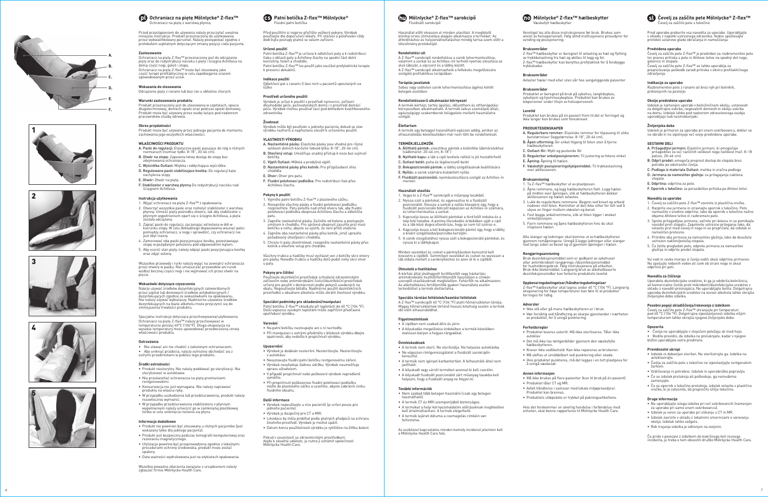## **Ochraniacz na piętę Mölnlycke® Z-flex™** Ochraniacz na piętę z warstwą płynną

Przed przystąpieniem do używania należy przeczytać uważnie niniejsze instrukcje. Produkt przeznaczony do użytkowania przez wykwalifi kowany personel. Należy postępować zgodnie z protokołem szpitalnym dotyczącym zmiany pozycji ciała pacjenta.

Ochraniacz na piętę Z-flex™ przeznaczony jest do odciążania<br>pięty oraz do redystrybucji nacisku z pięty i ścięgna Achillesa na<br>dolną część nogi, goleń i stopę. Ochraniacz na piętę Z-fl ex™ może być stosowany jako część terapii profi laktycznej w celu zapobiegania urazom spowodowanym przez ucisk.

#### **Zastosowanie**

- A. Paski do regulacji: Elastyczne paski pasujące do nóg o różnych rozmiarach (rozmiar łydki: 8-18", 20-46 cm).
- B. Otwór na stopę: Zapewnia łatwy dostęp do stopy bez zdeimowania ochraniacza.
- C. Wyściółka Outlast: Miękka i oddychająca wyściółka D. Regulowane paski stabilizujące kostkę: Do regulacji kąta nachylenia stopy
- E. Otwór: Otwór na piętę.
- F. Stabilizator z warstwą płynną Do redystrybucji nacisku nad ściegnem Achillesa.

## **Wskazania do stosowania**

Odciążenie pięty z ranami lub bez ran u obłożnie chorych

## **Warunki zastosowania produktu**

Produkt przeznaczony jest do stosowania w szpitalach, opiece długoterminowej, domach opieki oraz podczas opieki domowej. Produkt może być używany przez osoby leżące pod nadzorem pracowników służby zdrowia.

#### **Okres przydatności**

Produkt może być używany przez jednego pacjenta do momentu zachowania jego wszystkich właściwości.

### **WŁAŚCIWOŚCI PRODUKTU**

- 1. Wyjąć ochraniacz na piętę Z-flex™ z opakowania. 2. Otworzyć wszystkie paski oraz rozłożyć stabilizator z warstwą płynną. Umieść piętę pośrodku otworu, tak aby stabilizator z płynnym wypełnieniem oparł się o ścięgno Achillesa, a pięta została odciążona.
- 3. Zapiąć paski do regulacji, zaczynając od kolana w dół w kierunku stopy. W celu dokładnego dopasowania wsunąć palec pomiędzy ochraniacz, a nogę i sprawdzić, czy ochraniacz nie jest zbyt ciasny.
- 4. Zamocować oba paski pozycjonujące kostkę, pozostawiając stopę w pożądanym położeniu pod odpowiednim kątem. 5. Aby ocenić stan pięty, należy odpiąć paski pozycjonujące kostkę

Należy używać środków dezynfekcyjnych zatwierdzonych przez szpital lub domowych środków antybakteryjnych / dezynfekujących zgodnie ze wskazówkami na opakowaniu. Nie należy używać wybielaczy. Nadmierne używanie środków dezynfekujących na bazie alkoholu może przyczynić się do zmniejszenia trwałości produktu.

#### **Instrukcja użytkowania**

#### **Patní botička Z-flex™ Mölnlycke®** Fluidní patní botička

Před použitím si nejprve přečtěte veškeré pokyny. Výrobek<br>používejte dle doporučení lékaře. Při otáčení a polohování vždy<br>dodržujte postupy platné ve vašem zařízení.

oraz zdjąć osłonę.

Wszystkie przewody i rurki należy wyjąć na zewnątrz ochraniacza przez otwory w pasku. Nie umieszczać przewodów ani rurek wzdłuż bocznej części nogi i nie wyjmować ich przez otwór na pięcie.

#### **Wskazówki dotyczące czyszczenia**

Výrobek může být používán u jednoho pacienta, dokud se stav výrobek máže byť podzivání a jednoho paciema, dokad se<br>vrobku nezhorší a nepřestane sloužit k určenému použití

- 1. Vyjměte patní botičku Z-fl ex™ z plastového sáčku.
- 2. Rozepněte všechny pásky a fluidní polohovací podložku<br>rozprostřete. Patu položte nad střed otvoru tak, aby fluidní<br>polohovací podložka obepnula Achillovu šlachu a odlehčila<br>patu.
- 3. Zapněte nastavitelné pásky. Začněte od kolene a postupujte směrem k chodidlu. Pro správné obepnutí zasuňte prst mezi botičku a nohu, abyste se ujistili, že není příliš utažená.
- 4. Zapněte oba nastavitelné pásky přes kotník, jimiž upravíte požadovaný úhel/pozici chodidla.
- 5. Chcete-li patu zkontrolovat, rozepněte nastavitelné pásky přes kotník a otevřete vstup pro chodidlo

Specjalne instrukcje dotyczące przechowywania/użytkowania Ochraniacz na piętę Z-flex™ należy przechowywać w<br>temperaturze poniżej 40°C (104°F). Długa ekspozycja na wysokie temperatury może spowodować przedwczesną utratę właściwości produktu.

#### **Ostrzeżenia**

• Nie stawać ani nie chodzić z założonym ochraniaczem. • Aby uniknąć przebicia, należy ostrożnie obchodzić się z ostrymi przedmiotami w pobliżu tego produktu.

#### **Środki ostrożności**

Patní botičku Z-flex™ skladujte při teplotách do 40 °C (104 °F).<br>Delší expozice vysokým teplotám může zapříčinit předčasné opotřebení výrobku.

- Na patní botičku nestoupejte ani s ní nechoďte.
- Při manipulaci s ostrými předměty v blízkosti výrobku dbejte opatrnosti, aby nedošlo k propíchnutí výrobku.

- Produkt niesterylny. Nie należy poddawać go sterylizacji. Nie sterylizować w autoklawie
- Nie prześwietlać ochraniacza na piętę promieniami rentgenowskimi.
- Konserwacja nie jest wymagana. Nie należy naprawiać produktu na własna rękę.
- W przypadku uszkodzenia lub przedziurawienia, produkt należy niezwłocznie wymienić.
- W przypadku przedziurawienia stabilizatora z płynnym wypełnieniem należy umieścić go w zamkniętej plastikowej torbie w celu uniknięcia rozlania się płynu.
- Výrobek je dodáván nesterilní. Nesterilizujte. Nesterilizujte v autoklávu
- Nevystavujte fluidní patní botičku rentgenovému záření. • Výrobek nevyžaduje žádnou údržbu. Výrobek neumožňuje
- opravu uživatel • V případě propíchnutí nebo poškození výrobek neprodleně
- vyměňte. • Při propíchnutí poškozenou fluidní polohovací podložku
- vložte do plastového sáčku a uzavřete, abyste zabránili úniku fluidního obsahu.

#### **Informacje dodatkowe**

- Produkt nie powinien być stosowany u różnych pacjentów (jest wskazany tylko dla jednego pacjenta).
- Produkt jest bezpieczny podczas tomografi i komputerowej oraz rezonansu magnetycznego.
- Utylizacja powinna być przeprowadzona zgodnie z lokalnymi procedurami ochrony środowiska, produkt może zostać spalony.
- Data ważności wydrukowana jest na etykietach opakowania.

Wszelkie poważne zdarzenia związane z urządzeniem należy zgłaszać fi rmie Mölnlycke Health Care.

 $\epsilon$  . The metal approach is the zame in the predviden za razbremenitev petete ter prenos pritiska s pete in Ahilove tetive na spodnji del noge, golenico in stopalo.

ševelj za zaščito pete Z-flex™ se lahko uporablja za preprečevanje poškodb zaradi pritiska v okviru profilaktičnega zdravljenja.

Izdelek je namenjen uporabi v bolnišničnem okolju, ustanovah<br>za dolgotrajno oskrbo, negovalnih domovih in okolju oskrbe<br>na domu. Izdelek lahko pod nadzorom zdravstvenega osebja uporabljajo tudi nestrokovnjaki.

## **Určené použití**

Patní botička Z-flex™ je určena k odlehčení paty a k redistribuci tlaku z oblasti paty a Achillovy šlachy na spodní část dolní končetiny, holeň a chodidlo. Patní botičku Z-flex™ lze použít jako součást profylaktické terapie<br>k prevenci dekubitů.

## **Indikace použití**

Odlehčení pat s ranami či bez nich u pacientů upoutaných na lůžko

## **Prostředí určeného použití**

Výrobek je určen k použití v prostředí nemocnic, zařízení dlouhodobé péče, pečovatelských domů i v prostředí domácí péče. Výrobek mohou používat laici pod dohledem kvalifi kovaného zdravotníka.

#### **Životnost**

- 1. Čevelj za zaščito pete Z-flex™ vzemite iz plastična vrečke.
- 2. Razprite vse jermene in izravnajte opornik s tekočino. Peto namestite v sredino odprtine, tako da opornik s tekočino nežno objame Ahilovo tetivo in razbremeni peto.
- 3. Spnite prilagodljive jermene; začnite pri kolenu in se pomikajte navzdol proti stopalu. Zagotovite ustrezno prileganje tako, da vstavite prst med čevelj in nogo in se prepričate, da izdelek ni nameščen pretesno.
- 4. Pritrdite oba jermena za namestitev gležnja, tako da dosežete ustrezen naklon/položaj stopala.
- 5. Če želite pregledati peto, odpnite jermena za namestitev gležnja in odprite predel stopala.

## **VLASTNOSTI VÝROBKU**

A. Nastavitelné pásky: Elastické pásky jsou vhodné pro různé velikosti dolních končetin (obvod lýtka: 8-18", 20-46 cm). B. Otevřený vstup: Umožňuje snadný přístup k noze bez sejmutí

> Uporabite dezinfekcijsko sredstvo, ki ga je odobrila bolnišnica,<br>ali komercialno čistilo proti mikrobom/dezinfekcijsko sredstvo v<br>skladu z navodili proizvajalca. Ne uporabljajte belila. Dolgotrajna<br>uporaba dezinfekcijskih življenjsko dobo izdelka.

- botičky.
- C. Výplň Outlast: Měkká a prodyšná výplň

D. Nastavitelné pásky přes kotník: Pro přizpůsobení úhlu chodidla

- E. Otvor: Otvor pro patu.
- F. Fluidní polohovací podložka: Pro redistribuci tlak přes
- Achillovu šlachu.

#### **Pokyny k použití**

Z-fl ex™ hælbeskytter er beregnet til avlasting av hæl og fl ytting av trykkbelastning fra hæl og akilles til legg og fot. Z-flex™ hælbeskytter kan benyttes profylaktisk for å forebygge

Všechny trubice a hadičky musí vycházet ven z botičky skrz otvory pro pásky. Neveďte trubice a hadičky dolů podél nohy skrz otvor u paty.

# **Pokyny pro čištění**

Používejte dezinfekční prostředek schválený zdravotnickým zařízením nebo antimikrobiální čisticí/dezinfekční prostředek určený pro použití v domácnosti podle pokynů uvedených na obalu. Nepoužívejte bělidla. Nadměrné použití dezinfekčních prostředků s obsahem alkoholu může zkrátit životnost výrobku.

## **Speciální podmínky pro skladování/manipulaci**

## **Varování**

**Rengjøringsanvisning** Bruk desinfeksjonsmiddel som er godkjent av sykehuset eller antimikrobielt rengjørings-/desinfeksjonsmiddel<br>for husholdningsbruk. Følg instruksjonene på etiketten.<br>Bruk ikke blekemiddel. Langvarig bruk av alkoholbaserte<br>desinfeksjonsmidler kan forkorte produktets levetid.

#### **Upozornění**

å unngå væskesø **Annen informasjon** 

• Må ikke brukes på flere pasienter (kun til bruk på én pasient). • Produktet tåler CT og MR.

#### **Další informace**

## **Mölnlycke® Z-flex™ sarokcipő** Fluidizált sarokcipő

- Výrobek nepoužívejte u více pacientů (je určen pouze pro jednoho pacienta).
- Výrobek je bezpečný pro CT a MRI.
- 
- Likvidace by měla probíhat podle platných předpisů na ochranu životního prostředí. Výrobek je možné spálit.
- Datum konce použitelnosti výrobku je vytištěno na štítku balení.

Használat előtt olvasson el minden utasítást. A megfelelő<br>klinikai orvos útmutatása alapján alkalmazza a terméket. Az<br>átfordításhoz és helyzetváltoztatáshoz mindig tartsa szem előtt a létesítmény protokollját.

Pokud v souvislosti se zdravotnickým prostředkem dojde k závažné události, je nutno ji oznámit společnosti Mölnlycke Health Care. Čevelj za zaščito pete s tekočino

Pred uporabo preberite vsa navodila za uporabo. Uporabljajte<br>v skladu z napotki ustreznega zdravnika. Vedno upoštevajte<br>protokol ustanove glede obračanja in nameščanja.

A termék kórházi, tartós ápolási, idősotthoni és otthonápolási<br>környezetben alkalmazható. A termék laikus személyek általi,<br>egészségügyi szakemberek felügyelete melletti használatra szolgál.

## **Predvidena uporaba**

## **Indikacije za uporabo**

Razbremenitev pete z ranami ali brez njih pri bolnikih, priklenjenih na posteljo

## **Okolje predvidene uporabe**

#### **Življenjska doba**

Izdelek je primeren za uporabo pri enem oskrbovancu, dokler se ne obrabi in ne izpolnjuje več svoje predvidene uporabe.

- **SESTAVNI DELI** A. **Prilagodljivi jermeni:** Elastični jermeni, ki omogočajo<br>prilagoditev za več različnih velikosti noge (velikost meč: 8–18<br>palcev, 20–46 cm).
- B. Odprt predel: omogoča preprost dostop do stopala brez potrebe po odstranitvi čevlja.
- C. Podloga iz materiala Outlast: mehka in zračna podloga D. Jermena za namestitev gležnja: za prilagajanje naklona stopala
- E. Odprtina: odprtina za peto.
- F. Opornik s tekočino: za porazdelitev pritiska po Ahilovi tetivi.

### **Navodila za uporabo**

Vsi vodi in cevke morajo iz čevlja voditi skozi odprtine jermenov. Ne speljujte nobenih vodov ali cevk ob strani noge in skozi odprtino pri peti.

## **Navodila za čiščenje**

## **Posebni pogoji skladiščenja/rokovanja z izdelkom**

Čevelj za zaščito pete Z-flex™ shranjujte pri temperaturi<br>pod 40 °C (104 °F). Dolgotrajna izpostavljenost izdelka višjim<br>temperaturam lahko skrajša njegovo življenjsko dobo.

## **Opozorila**

• Čevlja ne uporabljajte v stoječem položaju ali med hojo. • Bodite previdni, da izdelka ne preluknjate, kadar v njegovi bližini uporabljate ostre predmete.

#### **Previdnostni ukrepi**

- Izdelek ni dobavljen sterilen. Ne sterilizirajte ga. Izdelka ne avtoklavirajte.
- Čevlja za zaščito pete s tekočino ne izpostavljajte rentgenskim žarkom.
- Vzdrževanje ni potrebno. Izdelek ni uporabniško popravljiv. • Če se izdelek preluknja ali poškoduje, ga nemudoma
- zamenjajte.
- Če se opornik s tekočino preluknja, izdelek vstavite v plastično vrečko, ki jo zatesnite, da preprečite izlitje tekočine.

## **Druge informacije**

- Ne uporabljajte istega izdelka pri več oskrbovancih (namenjen za uporabo pri samo enem oskrbovancu).
- Izdelek je varen za uporabo pri slikanju s CT in MR. • Izdelek zavrzite v skladu z lokalnimi smernicami o varovanju
- okolja. Izdelek lahko zažgete.
- Rok trajanja izdelka je odtisnjen na ovojnini.

Če pride v povezavi z izdelkom do kakršnega koli resnega incidenta, je treba o tem obvestiti družbo Mölnlycke Health Care.

# **Mölnlycke ® Z-fl ex™ hælbeskytter**

Væskefylt hælbeskytter

Vennligst les alle disse instruksjonene før bruk. Brukes som anvist av helsepersonell. Følg alltid institusjonens prosedyrer for vending og posisjonering.

**Bruksområder**

trykkskader. **Bruksområder**

Avlaster hæler med eller uten sår hos sengeliggende pasienter

**Bruksområder**

Produktet er beregnet på bruk på sykehus, langtidspleie, sykehjem og hjemmesykepleie. Produktet kan brukes av lekpersoner under tilsyn av helsepersonell.

**Levetid**

Produktet kan brukes på én pasient frem til det er forringet og ikke lenger kan brukes som foreskrevet.

**PRODUKTEGENSKAPER**

A. Regulerbare remmer: Elastiske remmer for tilpassing til ulike benstørrelser (leggstørrelse: 8-18", 20-46 cm). B. Åpen utforming: Gir enkel tilgang til foten uten å fjerne

hælbeskytteren.

C. Outlast-fôr: Mykt og pustende fôr D. Regulerbar ankelposisjonsrem: Til justering av fotens vinkel

E. Åpning: Åpning til hælen.

F. Væskefylt posisjoneringshjelpemiddel: Til trykkavlastning over akillessenen.

1. Ta Z-flex™ hælbeskytter ut av plastposen.

- 2. Åpne remmene, og legg hælbeskytteren flatt. Legg hælen<br>- på midten over åpningen, slik at hælbeskytteren dekker<br>- akillessenen og hælen avlastes.
- 3. Lukk de regulerbare remmene. Begynn ved kneet og arbeid nedover mot foten. Kontroller at den ikke sitter for tett ved å skyve en finger mellom støvelen og benet.

**Bruksanvisning**

4. Fest begge ankelremmene, slik at foten ligger i ønsket

vinkel/posisjon.

5. Fjern remmene og åpne hælbeskytteren hvis du skal

inspisere hælen.

Alle slanger og ledninger skal komme ut av hælbeskytteren gjennom remåpningene. Unngå å legge ledninger eller slanger ned langs siden av benet og ut gjennom åpningen i hælen.

## **Oppbevaringsbetingelser/håndteringsbetingelser**

Z-flex™ hælbeskytter skal lagres under 40 °C (104 °F). Langvarig<br>eksponering for høye temperaturer kan føre til at produktet<br>forringes for tidlig.

**Advarsler** 

• Ikke stå eller gå mens hælbeskytteren er i bruk. • Vær forsiktig ved håndtering av skarpe gjenstander i nærheten av produktet, for å unngå punktering.

**Forholdsregler** 

• Produktet leveres usterilt. Må ikke steriliseres. Tåler ikke

autoklav

• Det må ikke tas røntgenbilder gjennom den væskefylte

hælbeskytteren.

• Krever ikke vedlikehold. Kan ikke repareres av brukeren. • Må skiftes ut umiddelbart ved punktering eller skade. • Hvis produktet punkteres, må det legges i en tett plastpose for

• Avfall håndteres i samsvar med lokale miljøprosedyrer. Produktet kan brennes.

• Produktets utløpsdato er trykket på pakningsetikettene.

Hvis det forekommer en alvorlig hendelse i forbindelse med enheten, skal denne rapporteres til Mölnlycke Health Care.



# Čevelj za zaščito pete Mölnlycke® Z-flex™

#### **Rendeltetési cél**

A Z-flex™ sarokcipő rendeltetése a sarok tehermentesítése,<br>valamint a sarkat és az Achilles-ínt terhelő nyomás elosztása az alsó lábszár, a sípcsont és a lábfej között. A Z-fl ex™ sarokcipő alkalmazható a felfekvés megelőzésére szolgáló profilaktikus terápiában.

# **Terápiás javallatok** Sebes vagy sebtelen sarok tehermentesítése ágyhoz kötött betegek esetében

## **Rendeltetésszerű alkalmazási környezet**

#### **Élettartam**

A termék egy beteggel használható egészen addig, amikor az elhasználódás következtében már nem tölti be rendeltetését.

### **TERMÉKJELLEMZŐK**

A. Állítható pántok: elasztikus pántok a különféle lábméretekhez (vádliméret: 20–46 cm, 8–18") B. Nyitható kapu: a láb a cipő levétele nélkül is jól hozzáférhető

C. Outlast betét: puha és légáteresztő betét

D. Bokapozicionáló pántok: a lábfej szögállásának beállítására

E. Nyílás: a sarok számára kialakított nyílás

F. Fluidizált pozicionáló: nyomáselosztásra szolgál az Achilles-ín

mentén **Használati utasítás**

pozicionálót. Illessze a sarkat a nyílás közepére úgy, hogy a fl uidizált pozicionáló bölcsőt képezzen az Achilles-ín számára, és tehermentesítse a sarkat. 3. Kapcsolja össze az állítható pántokat a térd felől indulva és a talp felé haladva. A pontos illeszkedés érdekében ujját a cipő és a láb közé dugva ellenőrizze, hogy az nem túl szoros-e. 4. Kapcsolja össze a két bokapozicionáló pántot úgy, hogy a lábfej

a kívánt szögállásba/pozícióba kerüljön.

5. A sarok vizsgálatához nyissa szét a bokapozionáló pántokat, és

A kórház által jóváhagyott fertőtlenítőt vagy háztartási<br>antimikrobiális tisztítól/fertőtlenítőt használjon a címkén<br>szereplő utasításoknak megfelelően. Fehérítőt ne alkalmazzon.<br>Az alkoholbázisú fertőtlenítők gyakori hasz

A Z-flex™ sarokcipőt 40 °C (104 °F) alatti hőmérsékleten tárolja.<br>Magas hőmérsékletnek történő hosszú kitettség esetén a termék

nyissa ki a lábfejkaput.

Minden vezetéket és csövet a pántnyílásokon keresztül kell kivezetni a cipőből. Semmilyen vezetéket és csövet ne vezessen a láb oldala mellett a saroknyíláshoz és azon át ki a cipőből.

**Útmutató a tisztításhoz**

lerövidülhet a termék élettartama.

**Speciális tárolási feltételek/kezelési feltételek**

1. Vegye ki a Z-flex™ sarokcipőt a műanyag tasakból. 2. Nyissa szét a pántokat, és egyenesítse ki a fluidizált

idő előtt elhasználódhat. **Figyelmeztetések** 

• A cipőben nem szabad állni és járni.

• A kilyukadás megelőzése érdekében a termék közelében óvatosan bánjon a hegyes tárgyakkal.

**Óvintézkedések** 

• A termék nem steril. Ne sterilizálja. Ne helyezze autoklávba. • Ne végezzen röntgenvizsgálatot a fl uidizált sarokcipőn

keresztül.

• A termék nem igényel karbantartást. A felhasználó által nem

javítható.

• A kilyukadt vagy sérült terméket azonnal ki kell cserélni. • A kilyukadt fl uidizált pozicionálót zárt műanyag tasakba kell helyezni, hogy a fl uidizált anyag ne folyjon ki.

**További információk** 

• Nem szabad több betegen használni (csak egy betegen használható). • A termék CT és MRI szempontjából biztonságos.

• A terméket a helyi környezetvédelmi előírásoknak megfelelően kell ártalmatlanítani. A termék elégethető. • A termék lejárati dátuma a csomagolás címkéin van

feltüntetve.

Az eszközzel kapcsolatos minden komoly incidenst jelenteni kell

a Mölnlycke Health Care felé.

*6*











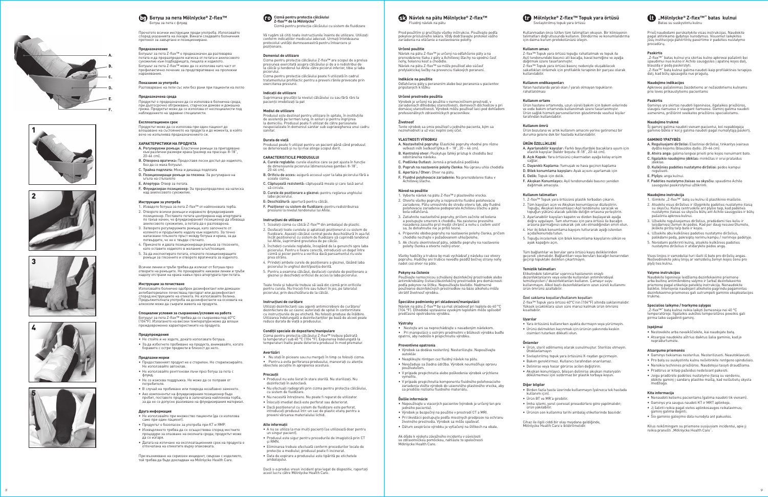## **Návlek na pätu Mölnlycke® Z-flex™** Fluidný návlek na pätu

Pred použitím si prečítajte všetky inštrukcie. Používajte podľa pokynov príslušného lekára. Vždy dodržiavajte protokol vášho zariadenia na otáčanie a nastavovanie polohy.

#### **Určené použitie**

Návlek na pätu Z-fl ex™ je určený na odľahčenie päty a na prerozdelenie tlaku z päty a Achillovej šľachy na spodnú časť nohy, holennú kosť a chodidlo. Návlek na pätu Z-flex™ sa môže používať ako súčasť profylaktickej liečby na prevenciu tlakových poranení.

## **Indikácie na použitie**

Odľahčenie päty s poranením alebo bez poranenia u pacientov pripútaných k lôžku

## **Určené prostredie použitia**

Výrobok je určený na použitie v nemocničnom prostredí, v zariadeniach dlhodobej starostlivosti, domovoch dôchodcov a pri domácej starostlivosti. Výrobok môžu používať laici pod dohľadom profesionálnych zdravotníckych pracovníkov.

.<br>1. Vyberte návlek na pätu Z-flex™ z plastového vrecka. 2. Otvorte všetky popruhy a rozprestrite fluidné polohovacie zariadenie. Pätu umiestnite do stredu otovru tak, aby fluidné polohovacie zariadenie podopieralo Achillovu šľachu a päta

**Životnosť**

Tento výrobok sa smie používať u jedného pacienta, kým sa

**VLASTNOSTI VÝROBKU**

A. Nastaviteľné popruhy: Elastické popruhy vhodné pre rôzne veľkosti nôh (veľkosť lýtka: 8 – 18", 20 – 46 cm). B. Kontrolný otvor: Poskytuje ľahký prístup k chodidlu bez

odstránenia návleku.

C. Podšívka Outlast: Jemná a priedušná podšívka

D. Popruh na nastavenie polohy členka: Na úpravu uhla chodidla

Používajte nemocnicou schválený dezinfekčný prostriedok alebo<br>antimikrobiálny čistiaci/dezinfekčný prostriedok pre domácnosti<br>podľa pokynov na štítku. Nepoužívajte bielidlo. Nadmerné používanie dezinfekčných prostriedkov na báze alkoholu môže

E. Apertúra / Otvor: Otvor na pätu.

F. Fluidné polohovacie zariadenie: Na prerozdelenie tlaku v

Achillovej šľache. **Návod na použitie**

• Neaplikujte röntgen cez fluidný návlek na pätu. • Nevyžaduje sa žiadna údržba. Výrobok neumožňuje opravu

bola odľahčená.

3. Zatiahnite nastaviteľné popruhy, pričom začnite od kolena a postupujte smerom k chodidlu. Na zaistenie presného nasadenia zasuňte prst medzi chránič a nohu s cieľom uistiť

sa, že dotiahnutie nie je príliš tesné.

4. Pripevnite obidva popruhy na nastavenie polohy členka, pričom chodidlo nechajte v požadovanom uhle/polohe. 5. Ak chcete skontrolovať pätu, oddeľte popruhy na nastavenie

polohy členka a otvorte nožný otvor.

nehodnotí a už viac neplní svoj účel.<br>Inehodnotí a už viac neplní svoj účel.

Všetky hadičky a trubice by mali vychádzať z návleku cez otvory popruhu. Hadičky ani trubice neveďte pozdĺž bočnej strany nohy

nadol cez otvor na päte. **Pokyny na čistenie**

skrátiť životnosť výrobku.

- A. Curele reglabile: curele elastice care se pot ajusta în funcţie de dimensiunile piciorului (dimensiunea gambei: 8-18", 20-46 cm).
- B. Orificiu de acces: asigură accesul ușor la laba piciorului fără a scoate cizma.
- C. Căptușeală rezistentă: căptușeală moale și care lasă aerul să circule.
- D. Curele de pozitionare a gleznei: pentru reglarea unghiului labei piciorului.
- E: Deschizătură: apertură pentru călcâi.
- - F. Poziționer cu sistem de fluidizare: pentru redistribuirea<br>presiunii la nivelul tendonului lui Ahile.

**Špeciálne podmienky pri skladovaní/manipulácii** Návlek na pätu Z-fl ex™ by sa mal skladovať pri teplote do 40 °C (104 °F). Dlhodobé vystavenie vysokým teplotám môže spôsobiť

**Výstrahy** 

.<br>predčasné opotrebenie výrobku.

• Nestojte ani sa neprechádzajte s nasadeným návlekom. • Pri manipulácii s ostrými predmetmi v blízkosti výrobku buďte opatrní, aby nedošlo k prepichnutiu výrobku.

**Preventívne opatrenia** 

. . . . . . . . .<br>autokláv

• Výrobok sa dodáva nesterilný. Nesterilizujte. Nepoužívajte

používateľom.

• V prípade prepichnutia alebo poškodenia výrobok urýchlene

vymeňte.

Toate firele și tuburile trebuie să iasă din cizmă prin orificiile pentru curele. Nu treceti fire sau tuburi în jos, pe lateralul piciorului, prin deschizătura de la călcâi.

> • V prípade prepichnutia komponentu fl uidného polohovacieho zariadenia vložte výrobok do uzavretého plastového vrecka, aby sa predišlo rozliatiu fl uidného materiálu.

**Ďalšie informácie** 

• Nepoužívajte u viacerých pacientov (výrobok je určený len pre

jedného pacienta).

• Výrobok je bezpečný na použitie v prostredí CT a MRI. • Pri likvidácii postupujte podľa miestnych predpisov na ochranu životného prostredia. Výrobok sa môže spaľovať. • Dátum exspirácie výrobku je vytlačený na štítkoch na obale.

• Nu stati în picioare sau nu mergeți în timp ce folositi cizma. • Pentru a evita perforarea produsului, manevrati cu atentie obiectele ascuţite în apropierea acestuia.

- Produsul nu este livrat în stare sterilă. Nu sterilizaţi. Nu dezinfectați în autoclavă.
- Nu efectuați radiografii prin cizma pentru protecția călcâiului, cu sistem de fluidizare
- Nu necesită întreţinere. Nu poate fi reparat de utilizator.
- Înlocuiţi imediat dacă este perforat sau deteriorat. • Dacă poziţionerul cu sistem de fl uidizare este perforat,
- introduceti produsul într-un sac de plastic etans pentru a preveni vărsarea materialului lichid.

Ak dôjde k výskytu závažného incidentu v súvislosti so zdravotníckou pomôckou, nahláste to spoločnosti Mölnlycke Health Care.



Cizmă pentru protecția călcâiului cu sistem de fluidizare

Vă rugăm să citiți toate instrucțiunile înainte de utilizare. Utilizați m indicatiilor medicului adecvat. Urmati întotdeauna protocolul unităţii dumneavoastră pentru întoarcere și .<br>pozitionare.

- A nu se utiliza la mai multi pacienti (se utilizează doar pentru un singur pacient).
- Produsul este sigur pentru procedurile de imagistică prin CT și RMN.
- Eliminarea trebuie efectuată conform procedurilor locale de
- protectie a mediului: produsul poate fi incinerat.
- Data de expirare a produsului este tipărită pe etichetele ambalajului.

#### **Domeniul de utilizare**

Cizma pentru protecţia călcâiului Z-fl ex™ are scopul de a prelua presiunea exercitată asupra călcâiului și de a o redistribui de la călcâi și tendonul lui Ahile către piciorul inferior, tibie și laba piciorului.

търаднатна тепна.<br>Ботушът за пета Z-flex™ е предназначен да разтоварва. петата и да преразпределя натиска от петата и ахилесовото сухожилие към подбедрицата, пищяла и ходилото. ботушът за пета Z-flex™ може да се използва като част от профилактично лечение за предотвратяване на пролежни наранявания.

Cizma pentru protecţia călcâiului poate fi utilizată în cadrul tratamentului profi lactic pentru a preveni rănile provocate prin

# exercitarea presiunii. **Indicaţii de utilizare**

Suprimarea greutăţii la nivelul călcâiului cu sau fără răni la pacienţii imobilizaţi la pat

## **Mediul de utilizare**

Produsul este destinat pentru utilizare în spitale, în instituţiile de asistentă pe termen lung, în aziluri și pentru îngrijirea la domiciliu. Produsul poate fi utilizat de către persoanele nespecializate în domeniul sanitar sub supravegherea unui cadru sanitar.

- А. Регулируеми ремъци: Еластични ремъци за пригодяване<br>към различни размери крака (размер на прасеца: 8-18″,<br>20-46 cm).
- B. Отворена вратичка: Предоставя лесен достъп до ходилото, без да се маха ботушът.
- 
- C. Трайна подплата: Мека и дишаща подплата D. Позициониращи ремъци за глезена: За регулиране на
- ъгъла на стъпалото E. Апертура: Отвор за петата.
- F. Флуидизиран позиционер: За преразпределяне на натиска над ахилесовото сухожилие.

## **Durata de viaţă**

Produsul poate fi utilizat pentru un pacient până când produsul se deteriorează și nu își mai atinge scopul dorit.

#### **CARACTERISTICILE PRODUSULUI**

- 1. Извадете ботуша за пета Z-flex™ от найлоновата торба.
- 2. Отворете всички ремъци и изравнете флуидизирания позиционер. Поставете петата центрирана над апертурата по такъв начин, че флуидизираният позиционер да обхваща ахилесовото сухожилие, а петата да е разтоварена.
- 3. Затворете регулируемите ремъци, като започнете от коляното и продължите надолу към ходилото. За точно напасване плъзнете пръст между ботуша и крака, за да потвърдите, че не е твърде стегнато.
- 4. Прикачете и двата позициониращи ремъка за глезените, като оставите ходилото в желания ъгъл/позиция.
- 5. За да инспектирате петата, откачете позициониращите ремъци за глезените и отворете вратичката за ходилото.

**Специални условия за съхранение/условия на работа** Ботушът за пета Z-flex™ трябва да се съхранява под 40°C<br>(104°F). Излагането на високи температури може да влоши

### **Instrucţiuni de utilizare**

- 1. Scoateți cizma cu călcâi Z-flex™ din ambalajul de plastic.
- 2. Desfaceţi toate curelele și aplatizaţi poziţionerul cu sistem de fl uidizare. Așezaţi călcâiul centrat peste deschizătură în așa fel încât poziționerul cu sistem de fluidizare să cuprindă tendonul lui Ahile, suprimând greutatea de pe călcâi.
- 3. Închideţi curelele reglabile, începând de la genunchi spre laba piciorului. Pentru o fi xare corectă, introduceţi un deget între cizmă și picior pentru a verifi ca dacă pansamentul nu este prea strâns.
- 4. Prindeţi ambele curele de poziţionare a gleznei, lăsând laba piciorului în unghiul dorit/poziţia dorită.
- 5. Pentru a examina călcâiul, desfaceţi curelele de poziţionare a gleznei și deschideți orificiul de acces la laba piciorulu

- Не използвайте при множество пациенти (да се използва само при един пациент).
- Продуктът е безопасен за употреба при КТ и ЯМР.
- Изхвърлянето трябва да се осъществява според местните процедури за опазване на околната среда; продуктът може да се изгаря.
- Датата на изтичане на експлоатационния срок на продукта е .<br>тпечатана на етикетите върху опаковката.

"Z-flex™" batas kulnui yra skirtas kulno apkrovai pašalinti bei<br>spaudimui nuo kulno ir Achilo sausgyslės į apatinę kojos dalį, blauzdą ir pėdą paskirstyti.

--------, ... p----, p---------, ...<br>,Z-flex™" batą kulnui galima naudoti kaip profilaktinės terapijos dalį, kad būtų apsaugota nuo pragulų.

Šį gaminį galima naudoti vienam pacientui, kol nepablogėja minii galima naudoti vienam paelentai, kot nepablogėja.<br>Inio būklė ir kol jį galima naudoti pagal numatytąją paskirtį.

- A. Reguliuojami dirželiai: Elastiniai dirželiai, tinkantys įvairaus dydžio kojoms (blauzdos dydis: 20–46 cm).
- B. Atvira anga: galima lengvai prieiti prie kojos nenuimant bato. C. Ilgalaikio naudojimo įdėklas: minkštas ir orui pralaidus įdėklas.
- D. Kulkšnies padėties nustatymo dirželiai: pėdos kampui reguliuoti.
- E. Plyšys: anga kulnui.
- F. Padėties nustatymo įtaisas su skysčiu: spaudimo Achilo sausgyslei paskirstymui užtikrin

#### **Instrucţiuni de curăţare**

Utilizaţi dezinfectanţi sau agenţi antimicrobieni de curăţare/ dezinfectare de uz casnic autorizați de spital în conformitate cu instrucțiunile de pe etichetă. Nu folosiți produse de înălbire. Utilizarea îndelungată a dezinfectanţilor pe bază de alcool poate reduce durata de viaţă a produsului.

## **Condiţii speciale de depozitare/manipulare**

Cizma pentru protecția călcâiului Z-flex™ trebuie păstrată<br>la temperaturi sub 40 °C (104 °F). Expunerea îndelungată la<br>temperaturi înalte poate deteriora produsul în mod prematur.

### **Avertizări**

- 1. Išimkite 7-flex™ bata su kulnu iš plastikinio maišelio.
- 2. Atsekite visus dirželius ir išlyginkite padėties nustatymo įtaisą su skysčiu. Kulną centruokite ant plyšio taip, kad padėties nustatymo įtaisas su skysčiu būtų ant Achilo sausgyslės ir būtų pašalinta apkrova kulnui.
- 3. Užsekite reguliuojamus dirželius, pradėdami ties keliu ir leisdamiesi žemyn iki pėdos. Kad per daug nesuveržtumėte, iersuurinėsi žerirynimi peuos: nut<br>įkiškite pirštą tarp bato ir kojos.
- 4. Užsekite abu kulkšnies padėties nustatymo dirželius, palikdami pėdą, pakreiptą norimu kampu / norimoje padėtyje.
- 5. Norėdami patikrinti kulną, atsekite kulkšnies padėties nustatymo dirželius ir atidarykite pėdos angą.

#### **Precauţii**

#### **Alte informaţii**

Kilus reikšmingam su priemone susijusiam incidentui, apie jį reikia pranešti "Mölnlycke Health Care"<br>reikia pranešti "Mölnlycke Health Care"

Z-flex™ Topuk yara örtüsü topuğu rahatlatmak ve topuk ile Aşil tendonundaki basıncı alt bacağa, kaval kemiğine ve ayağa dağıtmak üzere tasarlanmıştır.

Z-flex™ Topuk yara örtüsü basınç nedeniyle oluşabilecek<br>sakatlıkları önlemek için profilaktik terapinin bir parçası olarak

Dacă s-a produs vreun incident grav legat de dispozitiv, raportaţi acest lucru către Mölnlycke Health Care.

Прочетете всички инструкции преди употреба. Използвайте според указанията на лекаря. Винаги следвайте болничния протокол за завъртане и позициониране.

## **Предназначение**

**Показания за употреба** Разтоварване на пети със или без рани при пациенти на легло

#### **Предназначена среда**

Продуктът е предназначен да се използва в болнична среда, при дългосрочно обгрижване, старчески домове и домашна грижа. Продуктът може да се използва от неспециалисти под наблюдението на здравни специалисти.

> Etiketindeki talimatlar uyarınca hastanenin onaylı dezenfektanlarını veya evlerde kullanılan antimikrobiyal<br>temizleyicileri / dezenfektanları kullanın. Çamaşır suyu<br>kullanmayın. Alkol bazlı dezenfektanların uzun süreli kullanımı

#### **Експлоатационен срок**

Продуктът може да се използва при един пациент до влошаване на състоянието на продукта и до момента, в който вече не изпълнява предназначението си.

#### **ХАРАКТЕРИСТИКИ НА ПРОДУКТА**

## **Инструкции за употреба**

Всички линии и тръби трябва да излизат от ботуша през отворите на ремъците. Не прокарвайте никакви линии и тръби надолу отстрани на крака навън през апертурата при петата.

## **Инструкции за почистване**

Използвайте болнично одобрен дезинфектант или домашен антибактериален почистващ препарат или дезинфектант според инструкциите на етикета. Не използвайте белина. Продължителната употреба на дезинфектанти на основата на алкохоли може да съкрати живота на продукта.

преждевременно характеристиките на продукта.

#### **Предупреждения**

- Не стойте и не ходете, докато използвате ботуша. • За да избегнете пробиване на продукта, внимавайте, когато
- боравите с остри предмети в близост до него.

## **Предпазни мерки**

- Предоставеният продукт не е стерилен. Не стерилизирайте. Не използвайте автоклав.
- Не използвайте рентгенови лъчи през ботуш за пета с флуид.
- Не се изисква поддръжка. Не може да се поправя от потребителя.
- В случай на пробиване или повреда незабавно заменете. • Ако компонентът на флуидизирания позиционер бъде пробит, поставете продукта в запечатана найлонова торба, за да не се допусне разливане на флуидизирания материал.

## **Друга информация**

При възникване на сериозен инцидент, свързан с изделието, той трябва да бъде докладван на Mölnlycke Health Care.

## **"Mölnlycke ® Z-fl ex™" batas kulnui**

Batas su suskystintu kulnu

Prieš naudodami perskaitykite visas instrukcijas. Naudokite pagal atitinkamo gydytojo nurodymus. Visuomet laikykitės jūsų institucijoje patvirtintų pavertimo ir padėties nustatymo procedūrų.

## **Paskirtis**

## **Naudojimo indikacijos**

Apkrovos pašalinimas žaizdotiems ar nežaizdotiems kulnams prie lovos prikaustytiems pacientams

## **Paskirtis**

Gaminys yra skirtas naudoti ligoninėse, ilgalaikės priežiūros,<br>slaugos namuose ir slaugant namuose. Gaminį galima naudoti<br>asmenims, prižiūrint sveikatos priežiūros specialistams.

#### **Naudojimo trukmė**

## **GAMINIO YPATYBĖS**

#### **Naudojimo instrukcija**

Visos linijos ir vamzdeliai turi išeiti iš bato pro dirželių angas. Neišvedinėkite jokių linijų ar vamzdelių žemyn kojos šonu pro plyšį ties kulnu.

## **Valymo instrukcijos**

Naudokite ligoninėje leidžiamą dezinfekavimo priemonę arba buitinę antimikrobinę valymo ir (arba) dezinfekavimo priemonę pagal etiketėje pateiktą instrukciją. Nenaudokite baliklio. Intensyviai naudojant alkoholio pagrindu pagamintas dezinfekavimo priemones gali sutrumpėti gaminio eksploatacijos trukmė.

#### **Specialios laikymo / tvarkymo sąlygos**

"Z-fl ex™" batą kulnui reikia laikyti žemesnėje nei 40 °C temperatūroje. Ilgalaikis aukštos temperatūros poveikis gali pirma laiko sugadinti gaminį.

#### **Įspėjimai**

- Nestovėkite arba nevaikščiokite, kai naudojate batą.
- Atsargiai naudokite aštrius daiktus šalia gaminio, kad jo nepradurtumėte.

## **Atsargumo priemonės**

- Gaminys tiekiamas nesterilus. Nesterilizuoti. Neautoklavuoti.
- Pro batą su suskystintu kulnu nešvitinkite rentgeno spinduliais.
- Nereikia techninės priežiūros. Naudotojui taisyti draudžiama.
- Pradūrus ar kitaip pažeidus nedelsiant pakeisti.
- Jeigu pradūrėte padėties nustatymo įtaisą su vandeniu, įdėkite gaminį į sandarų plastiko maišą, kad neišsilietų skysta medžiaga.

## **Kita informacija**

- Nenaudoti keliems pacientams (galima naudoti tik vienam). • Gaminys yra saugus naudoti KT ir MRT aplinkoje.
- Jį šalinti reikia pagal vietos aplinkosaugos reikalavimus;
- aminį galima degint • Šio gaminio galiojimo data nurodyta ant pakuotės.

# **Mölnlycke ® Z-fl ex™ Topuk yara örtüsü**

stırılmıs topuk vara örtüs

Kullanmadan önce lütfen tüm talimatları okuyun. Bir klinisyenin talimatları doğrultusunda kullanın. Döndürme ve konumlandırma için daima kurum protokolünüzü izleyin.

**Kullanım amacı**

kullanılabilir.

**Kullanım endikasyonları**

Yatan hastalarda yaralı olan / yaralı olmayan topukların

Ürün hastane ortamında, uzun süreli bakım için bakım evlerinde<br>ve evde bakım ortamında kullanılmak üzere tasarlanmıştır.<br>Ürün sağlık hizmeti personellerinin gözetiminde vasıfsız kişiler

rahatlatılması **Kullanım ortamı**

tarafından kullanılabilir. **Kullanım ömrü**

Ürün bozulana ve artık kullanım amacını yerine getiremez bir duruma gelene dek bir hastada kullanılabilir.

**ÜRÜN ÖZELLİKLERİ**

A. Ayarlanabilir kayışlar: Farklı boyutlardaki bacaklara uyum için elastik kayışlar (baldır boyutu: 8-18", 20-46 cm). B. Açık Kapak: Yara örtüsünü çıkarmadan ayağa kolay erişim

sağlar.

C. Dayanıklı Kaplama: Yumuşak ve hava geçiren kaplama D. Bilek konumlama kayışları: Ayak açısını ayarlamak için

E. Delik: Topuk için delik.

F. Akışkan Konumlayıcı: Aşil tendonundaki basıncı yeniden

dağıtmak amacıyla. **Kullanım talimatları**

1. Z-fl ex™ Topuk yara örtüsünü plastik torbadan çıkarın. 2. Tüm kayışları açın ve Akışkan konumlayıcıyı düzleştirin. Topuğu, Akışkan konumlayıcı Aşil tendonunu saracak ve topuğun yükünü alacak şekilde deliğin ortasına yerleştirin. 3. Ayarlanabilir kayışları kapatın ve dizden başlayarak ayağa doğru uygulayın. Tam oturması için yara örtüsü ile bacağın arasına parmağınızı sokarak çok sıkı olmadığından emin olun. 4. Her iki bilek konumlama kayışını tutturarak ayağı istenilen

açıda/konumda tutun.

5. Topuğu incelemek için bilek konumlama kayışlarını sökün ve

ayak kapağını açın.

Tüm bağlantılar ve borular yara örtüsü kayış deliklerinden geçerek çıkmalıdır. Bağlantıları veya boruları bacağın kenarından geçirip topuktaki delikten çıkartmayın.

**Temizlik talimatları**

ürün ömrünü azaltabilir.

Özel saklama koşulları/kullanım koşulları

Z-flex™ Topuk yara örtüsü 40°C'nin (104°F) altında saklanmalıdır.<br>Yüksek sıcaklıklara uzun süre maruz kalmak ürün ömrünü

kısaltabilir. **Uyarılar** 

• Yara örtüsünü kullanırken ayakta durmayın veya yürümeyin. • Ürünü delmekten kaçınmak için ürünün yakınında keskin cisimleri tutarken dikkatli olun.

**Önlemler** 

• Ürün, steril edilmemiş olarak sunulmuştur. Sterilize etmeyin.

Otoklavlamayın

• Sıvılaştırılmış topuk yara örtüsünü X-raydan geçirmeyin.

• Bakım gerektirmez. Kullanıcı tarafından onarılamaz.

• Delinirse veya hasar görürse acilen değiştirin.

• Akışkan konumlayıcı, bileşen delinirse akışkan materyalin dökülmemesi için sızdırmaz bir plastik torbaya koyun.

**Diğer bilgiler** 

• Birden fazla hasta üzerinde kullanmayın (yalnızca tek hastada

kullanım için).

• Ürün BT ve MR'a girebilir.

• İmha işlemi, yerel çevresel prosedürlere göre yapılmalıdır; ürün yakılabilir.

• Ürünün son kullanma tarihi ambalaj etiketlerinde basılıdır.

Cihaz ile ilgili ciddi bir olay meydana geldiğinde, Mölnlycke Health Care'e bildirilmelidir.



*8*

## **Ботуш за пета Mölnlycke® Z-flex™** .<br>ютvш за пета с флvид









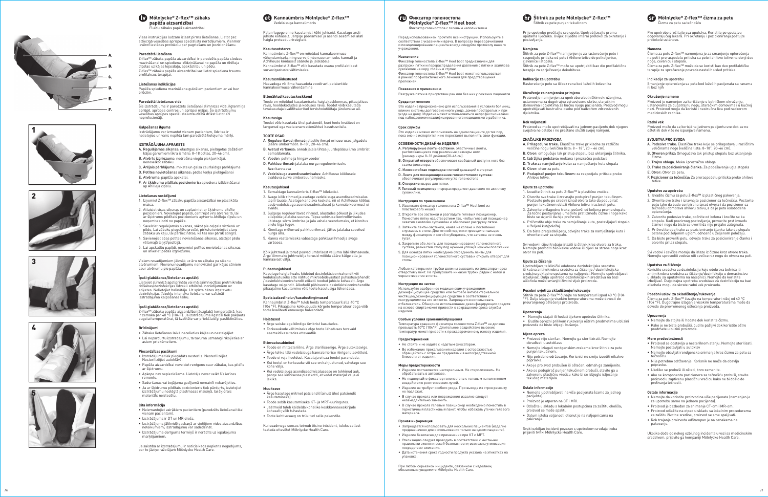

Palun lugege enne kasutamist kõiki juhiseid. Kasutage arsti juhiste kohaselt. Järgige pööramisel ja asendi seadmisel alati haigla protseduurireegleid.

## **Kasutusotstarve**

Kannaümbris Z-fl ex™ on mõeldud kannakoormuse vähendamiseks ning surve ümbersuunamiseks kannalt ja Achilleuse kõõluselt säärele ja jalalabale. Kannaümbrist Z-flex™ võib kasutada osana profülaktikast survevigastuste vältimiseks.

**Kasutusnäidustused**<br>Haavadega või ilma haavadeta voodiravil patsientide<br>kannakoormuse vähendamine

#### **Ettenähtud kasutuskeskkond**

Toode on mõeldud kasutamiseks haiglakeskkonnas, pikaajalises ravis, hooldekodudes ja koduses ravis. Toodet võib kasutada tavakasutaja kvalifi tseeritud tervishoiutöötaja järelevalve all.

#### **Kasutusiga**

Toodet võib kasutada ühel patsiendil, kuni toote kvaliteet on langenud ega vasta enam ettenähtud kasutusviisile.

#### **TOOTE OSAD**

Kasutage haigla heaks kiidetud desinfektsioonivahendit või kodukasutuseks ette nähtud mikroobidevastast puhastusvahendit / desinfektsioonivahendit etiketil toodud juhiste kohaselt. Ärge kasutage valgendit. Alkoholil põhinevate desinfektsioonivahendite pikaajaline kasutamine võib toote kasutusiga lühendada.

- A. Reguleeritavad rihmad: elastikrihmad eri suuruses jalgadele (sääre ümbermõõt: 8–18", 20–46 cm).
	- B. Avatud varbaosa: annab jalale lihtsa juurdepääsu ilma ümbrist
	- C. Vooder: pehme ja hingav vooder D. Pahkluurihmad: jalalaba nurga reguleerimiseks
	- Ava: kannaava
	- F. Vedelsisuga asendiseadmisalus: Achilleuse kõõlusele avalduva surve ümbersuunamiseks.

## **Kasutusjuhised**

- 1. Eemaldage kannaümbris Z-flex™ kilekotist.
- 2. Avage kõik rihmad ja asetage vedelsisuga asendiseadmisalus lapiti lauale. Asetage kand ava keskele, nii et Achilleuse kõõlus
- asub vedelsisuga asendiseadmisalusel ja kannale koormust ei avaldu. 3. Sulgege reguleeritavad rihmad, alustades põlvest ja liikudes allapoole jalalaba suunas. Täpse sobivuse kontrollimiseks
- libistage sõrm ümbrise ja jala vahele veendumaks, et kinnitus ei ole liiga tugev. 4. Kinnitage mõlemad pahkluurihmad, jättes jalalaba soovitud
- nurga alla.
- 5. Kanna vaatlemiseks vabastage pahkluurihmad ja avage<br>varbaosa.

## **Mölnlycke® Z-flex™ Heel boot** Фиксатор голеностопа с гелевым наполнителем

Перед использованием прочтите все инструкции. Используйте в<br>соответствии с указаниями врача. В вопросах переворачивания<br>и позиционирования пациента всегда следуйте протоколу вашего учреждения.

Kõik juhtmed ja torud peavad ümbrisest väljuma läbi rihmaavade. Ärge tõmmake juhtmeid ja torusid mööda sääre külge alla ja kannaavast välja.

## **Puhastusjuhised**

**Среда применения** Это изделие предназначено для использования в условиях больниц, клиник системы долговременного ухода, домов престарелых и при<br>уходе на дому. Изделие может использоваться непрофессионалами<br>под наблюдением квалифицированного медицинского работника.

# **Spetsiaalsed hoiu-/kasutustingimused**

Kannaümbrist Z-flex™ tuleb hoida temperatuuril alla 40 °C<br>(104 °F). Pikaajaline kokkupuude kõrgete temperatuuridega võib<br>toote kvaliteeti enneaegu halvendada.

## **Hoiatused**

- Ärge seiske ega kõndige ümbrist kasutades.
- Torkeaukude vältimiseks olge toote läheduses teravaid esemeid kasutades ettevaatlik.

## **Ettevaatusabinõud**

4. Закрепите обе ленты для позиционирования голеностопного сустава, разместив стопу под нужным углом/в нужном положении. 5. Для осмотра пятки необходимо отсоединить ленты для позиционирования голеностопного сустава и открыть отворот для

- Toode on mittesteriilne. Ärge steriliseerige. Ärge autoklaavige.
- Ärge tehke läbi vedelsisuga kannaümbrise röntgenülesvõtteid.
- Toode ei vaja hooldust. Kasutaja ei saa toodet parandada.
- Kui tootel on torkeauke või see on kahjustunud, vahetage see kohe välja.
- Kui vedelsisuga asendiseadmisalusesse on tekkinud auk, pange see kinnisesse plastkotti, et vedel materjal välja ei lekiks.

## **Muu teave**

- Ärge kasutage mitmel patsiendil (ainult ühel patsiendil kasutamiseks).
- Toode sobib kasutamiseks KT- ja MRT-uuringutes.
- Jäätmeid tuleb käidelda kohalike keskkonnaeeskirjade kohaselt; võib tuhastada.
- Toote kehtivusaeg on trükitud selle pakendile.
- 

Kui seadmega seoses toimub tõsine intsident, tuleks sellest teatada ettevõtet Mölnlycke Health Care.

**(10)** Фиксатор голеностопа

### **Назначение**

--=---- ------<br>Фиксатор голеностопа Z-flex™ Heel boot предназначен для разгрузки пятки и перераспределения давления с пятки и ахиллова сухожилия на икру, голень и ступню.<br>Сухожилия на икру, голень и ступню.<br>Фиксатор голеностопа 7-flex™ Heel boot может использоваться Фиксатор голеностопа Z-flex™ Heel boot может использоваться<br>в рамках профилактического лечения для предотвращения<br>пролежней.

Štitnik za pete Z-flex™ može se upotrijebiti kao dio profilaktične terapije za sprječavanje dekubitusa.

## **Показания к применению**

# Разгрузка пятки в присутствии ран или без них у лежачих пациентов

**Срок службы**

Это изделие можно использовать на одном пациенте до тех пор, пока оно не испортится и не перестанет выполнять свои функции.

**ОСОБЕННОСТИ ДИЗАЙНА ИЗДЕЛИЯ**

A. Регулируемые ленты-застежки: эластичные ленты, растягивающиеся под различные размеры ноги (размер икры 8–18 дюймов/20–46 см). B. Открытый отворот: обеспечивает свободный доступ к ноге без

съема фиксатора.

5. Da biste pregledali petu, odvojite trake za namještanje kuta i otvorite otvor za stopalo

C. Износостойкая подкладка: мягкий дышащий материал D. Лента для позиционирования голеностопного сустава: обеспечивает регулирование угла голеностопа

.<br>1. Извлеките фиксатор голеностопа Z-flex™ Heel boot из

E. Отверстие: вырез для пятки.

F. Гелевый позиционер: перераспределяет давление по ахиллову

сухожилию.

**Инструкция по применению**

пластикового мешка.

Štitnik za petu Z-flex™ čuvajte na temperaturi ispod 40 °C (104 °F). Dulje izlaganje visokim temperaturama može dovesti do preuranjenog oštećenja proizvoda.

2. Откройте все застежки и разгладьте гелевый позиционер. Поместите пятку над отверстием так, чтобы гелевый позиционер охватил ахиллово сухожилие и обеспечил разгрузку пятки. 3. Затяните ленты-застежки, начав на колене и постепенно спускаясь к стопе. Для точной подгонки проведите пальцем между фиксатором и ногой и убедитесь, что затяжка не очень

тугая.

стопы.

Любые катетеры или трубки должны выходить из фиксатора через отверстия у лент. Не пропускайте никакие трубки рядом с ногой и через отверстие в пятке.

Температура хранения фиксатора голеностопа Z-flex™ не должна<br>превышать 40°C (104°F). Длительное воздействие высоких<br>температур может привести к преждевременному износу изделия.

**Namena**<br>Čizma za petu Z-flex™ namenjena je za smanjenje opterećenja na peti i preraspodelu pritiska sa pete i ahilove tetive na donji deo noge, cevanicu i stopalo.

Čizma za petu Z-flex™ može da se koristi kao deo profilaktičke<br>terapije za sprečavanje povreda nastalih usled pritiska.

**Инструкции по чистке**

Proizvod može da se koristi na jednom pacijentu sve dok se ne ošteti ili dok više ne ispunjava namen

Используйте одобренное медицинским учреждением дезинфицирующее средство или бытовое антибактериальное<br>чистящее/дезинфицирующее средство в соответствии с<br>инструкциями на его этикетке. Запрещается использовать отбеливатель. Обширное использование дезинфицирующих средств на основе спирта может привести к сокращению срока службы

- A. Podesive trake: Elastične trake koje se prilagođavaju različitim veličinama noge (veličina lista: 8–18", 20–46 cm).
- B. Otvoren prilaz: Omogućava lak pristup stopalu bez uklanjanja čizme.
- C. Trajna obloga: Meka i prozračna obloga
- D. Trake za pozicioniranje članka: Za podešavanje ugla stopala
- E. Otvor: Otvor za petu.
- F. Pozicioner sa tečnošću: Za preraspodelu pritiska preko ahilove

изделия.

**Особые условия хранения/обращения**

**Предостережения** 

• Не стойте и не ходите с надетым фиксатором.

# $\mathsf{\acute{S}}$ titnik za pete Mölnlycke® Z-flex™

• Во избежание прокалывания изделия с осторожностью обращайтесь с острыми предметами в непосредственной

близости от изделия. **Меры предосторожности** 

- 1. Izvadite čizmu za petu Z-flex™ iz plastičnog pakovanja.
- 2. Otvorite sve trake i izravnajte pozicioner sa tečnošću. Postavite petu tako da bude centrirana iznad otvora i da pozicioner sa tečnošću obmotava ahilovu tetivu, a da je peta oslobođena opterećenja.
- 3. Zatvorite podesive trake, počnite od kolena i krećite se ka stopalu. Radi preciznog postavljanja, provucite prst između čizme i noge da biste se uverili da nije prejako zategnuta.
- 4. Pričvrstite obe trake za pozicioniranje članka tako da stopalo ostane pod željenim uglom, odnosno u željenom položaju.
- 5. Da biste proverili petu, odvojte trake za pozicioniranje članka i otvorite prilaz stopalu.

• Изделие поставляется нестерильным. Не стерилизовать. Не

обрабатывать в автоклаве.

• Не подвергайте фиксатор голеностопа с гелевым наполнителем

воздействию рентгеновских лучей.

• Изделие не требует особого ухода. При выходе из строя ремонту

не подлежит.

• В случае прокола или повреждения изделие следует

Čizmu za petu Z-flex™ čuvajte na temperaturi nižoj od 40 °C (104 °F). Dugotrajno izlaganje visokim temperaturama može da dovede do prevremenog oštećenja proizvoda.

незамедлительно заменить.

• В случае прокола гелевый позиционер необходимо поместить в герметичный пластиковый пакет, чтобы избежать утечки гелевого

материала. **Прочая информация** 

• Запрещается использовать для нескольких пациентов (изделие предназначено для использования только на одном пациенте).

• Изделие безопасно для применения при КТ и МРТ.

• Утилизацию следует проводить в соответствии с местными правилами экологической безопасности; возможна утилизация

посредством сжигания.

• Дата истечения срока годности продукта указана на этикетках на

упаковке.

При любом серьезном инциденте, связанном с изделием, обязательно уведомите Mölnlycke Health Care.

Štitnik za pete punjen tekućinom

Prije upotrebe pročitajte sve upute. Upotrebljavajte prema uputama liječnika. Uvijek slijedite interni protokol za okretanje i

**Namjena**<br>Štitnik za pete Z-flex™ namijenjen je za rasterećenje pete i<br>raspodjelu pritiska od pete i Ahilove tetive do potkoljenice,<br>cjevanice i stopala.

postavljanje.

**Indikacije za upotrebu**

Rasterećenje pete sa ili bez rana kod ležećih bolesnika

## **Okruženje za namjensku primjenu**

Proizvod je namijenjen za upotrebu u bolničkim okruženjima, ustanovama za dugotrajnu zdravstvenu skrbu, staračkim domovima i objektima za kućnu njegu pacijenata. Proizvod mogu upotrebljavati nestručne osobe pod nadzorom zdravstvenih

djelatnika. **Rok valjanosti**

Proizvod se može upotrebljavati na jednom pacijentu dok njegova svojstva ne oslabe i ne prestane služiti svojoj namjeni.

**ZNAČAJKE PROIZVODA**

A. Prilagodljive trake: Elastične trake prikladne za različite veličine nogu (veličina lista: 8 – 18", 20 – 46 cm).

- B. Otvor: omogućuje lak pristup stopalu bez uklanjanja štitnika. C. Izdržljiva podstava: mekana i prozračna podstava
- D. Trake za namještanje kuta: za namještanje kuta stopala

E. Otvor: otvor za petu.

Z-flex™ zābaku papēža aizsardzībai jāuzglabā temperatūrā, kas<br>ir zemāka par 40 °C (104 F). Ja izstrādājums ilgstoši tiek pakļauts augstai temperatūrai, tā kvalitāte var priekšlaicīgi pasliktināties.

• Zābaka lietošanas laikā necelieties kājās un nestaigājiet. • Lai nepārdurtu izstrādājumu, tā tuvumā uzmanīgi rīkojieties ar asiem priekšmetiem.

F. Podupirač punjen tekućinom: za raspodjelu pritiska preko

.<br>Izvadite štitnik za petu Z-flex™ iz plastične vrećice.

Ahilove tetive. **Upute za upotrebu**

- 2. Otvorite sve trake i izravnajte podupirač punjen tekućinom. Postavite petu po sredini iznad otvora tako da podupirač punjen tekućinom obloži Ahilovu tetivu i rastereti petu.
- 3. Zatvorite prilagodne trake, počevši od koljena prema stopalu.
- Za točno postavljanje umetnite prst između čizme i noge kako biste se uvjerili da nije prečvrsto.
- 4. Pričvrstite obje trake za namještanje kuta, postavljajući stopalo

u željeni kut/položaj.

Svi vodovi i cijevi trebaju izlaziti iz štitnik kroz otvore za traku. Nemojte provoditi bilo kakve vodove ili cijevi sa strane noge kroz

otvor na peti. **Upute za čišćenje**

Upotrebljavajte klinički odobrena dezinfekcijska sredstva ili kućna antimikrobna sredstva za čišćenje / dezinfekcijska

sredstva sukladno uputama na naljepnici. Nemojte upotrebljavati izbjeljivač. Dulja upotreba dezinfekcijskih sredstava na bazi alkohola može smanjiti životni vijek proizvoda.

# **Posebni uvjeti za skladištenje/rukovanje**

**Upozorenja** 

• Nemojte stajati ili hodati tijekom upotrebe štitnika. • Budite oprezni prilikom rukovanja oštrim predmetima u blizini proizvoda da biste izbjegli bušenje.

**Mjere opreza** 

• Proizvod nije sterilan. Nemojte ga sterilizirati. Nemojte

obrađivati u autoklavu

• Nemojte izlagati rendgenskim zrakama kroz štitnik za pete

punjen tekućinom.

• Nije potrebno održavanje. Korisnici ne smiju izvoditi nikakve

popravke.

• Ako je proizvod probušen ili oštećen, odmah ga zamijenite. • Ako se podupirač punjen tekućinom probuši, stavite ga u zatvorenu plastičnu vrećicu kako bi se izbjeglo istjecanje

tekućeg materijala. **Ostale informacije** 

• Nemojte upotrebljavati na više pacijenata (samo za jednog

pacijenta).

• Proizvod je otporan na CT i MRI.

• Odložite u skladu s lokalnim postupcima za zaštitu okoliša; proizvod se može spaliti.

• Datum isteka valjanosti otisnut je na naljepnicama na

pakiranju.

Svaki ozbiljan incident povezan s upotrebom uređaja treba prijaviti tvrtki Mölnlycke Health Care.



#### **Mölnlycke ® Z-fl ex™ čizma za petu** Čizma za petu sa tečnošću

Pre upotrebe pročitajte sva uputstva. Koristite po uputstvu odgovarajućeg lekara. Pri okretanju i pozicioniranju poštujte protokole ustanove.

## Indikacije za upotrebu

Smanjenje opterećenja sa peta kod ležećih pacijenata sa ranama ili bez njih

## **Okruženje namene**

Proizvod je namenjen za korišćenje u bolničkom okruženju, ustanovama za dugotrajnu negu, staračkim domovima i u kućnoj nezi. Proizvod mogu da koriste i nestručna lica pod nadzorom medicinskih radnika.

## **Radni vek**

## **SVOJSTVA PROIZVODA**

#### **Uputstvo za upotrebu**

Svi vodovi i cevčice moraju da izlaze iz čizme kroz otvore traka. Nemojte sprovoditi vodove niti cevčice niz nogu do otvora na peti.

## **Uputstva za čišćenje**

Koristite sredstva za dezinfekciju koje odobrava bolnica ili antimikrobna sredstva za čišćenje/dezinfekciju u domaćinstvu<br>u skladu sa uputstvima na nalepnici. Nemojte da koristite<br>izbeljivač. Dugotrajna upotreba sredstava za dezinfekciju na bazi alkohola mogu da skrate radni vek proizvoda.

#### **Posebni uslovi za skladištenje/rukovanje**

#### **Upozorenja**

- Nemojte da stojite ili hodate dok koristite čizmu.
- Kako je ne biste probušili, budite pažljivi dok koristite oštre predmete u blizini proizvoda.

#### **Mere predostrožnosti**

- Proizvod se dostavlja u nesterilnom stanju. Nemojte sterilisati. Nemojte postavljati u autoklav
- Nemojte obavljati rendgenska snimanja kroz čizmu za petu sa tečnošću.
- Nije potrebno održavanje. Korisnik ne može da obavlja popravke.
- Ukoliko se probuši ili ošteti, brzo zamenite.
- Ako se komponenta pozicionera sa tečnošću probuši, stavite proizvod u zaptivenu plastičnu vrećicu kako ne bi došlo do prolivanja tečnosti.

## **Ostale informacije**

- Nemojte da koristite proizvod na više pacijenata (namenjen je za upotrebu samo na jednom pacijentu).
- Proizvod je bezbedan za snimanje CT-om i MR-om.
- Proizvod odlažite na otpad u skladu sa lokalnim procedurama za zaštitu životne sredine, proizvod se sme spaljivati.
- Rok trajanja proizvoda odštampan je na oznakama na pakovanju.

Ukoliko dođe do nekog ozbiljnog incidenta u vezi sa medicinskim sredstvom, prijavite ga kompaniji Mölnlycke Health Care.

# **Mölnlycke ® Z-fl ex™ zābaks papēža aizsardzībai**

Fluīdu zābaks papēža aizsardzībai

Visas instrukcijas lūdzam izlasīt pirms lietošanas. Lietot pēc attiecīgā veselības aprūpes speciālista norādījumiem. Vienmēr ievērot iestādes protokolu par pagriešanu un pozicionēšanu.

## **Paredzētā lietošana**

Z-fl ex™ zābaks papēža aizsardzībai ir paredzēts papēža slodzes mazināšanai un spiediena izlīdzināšanai no papēža un Ahilleja cīpslas uz kājas lejasdaļu, apakšstilbu un pēdu. Z-flex™ zābaku papēža aizsardzībai var lietot spiediena traumu profi lakses terapijai.

## **Lietošanas indikācijas**

Papēža spiediena mazināšana gulošiem pacientiem ar vai bez brūcēm.

#### **Paredzētā lietošanas vide**

Šis izstrādājums ir paredzēts lietošanai slimnīcas vidē, ilgtermiņa aprūpē, aprūpes centros un aprūpei mājas. Šo izstrādājumu veselības aprūpes speciālista uzraudzībā drīkst lietot arī neprofesionāļi.

## **Kalpošanas ilgums**

Izstrādājumu var izmantot vienam pacientam, līdz tas ir nolietojies un vairs nepilda tam paredzētā lietojuma mērķi.

## **IZSTRĀDĀJUMA APRAKSTS**

- A. Regulējamas siksnas: elastīgas siksnas, pielāgotas dažādiem kājas garumiem (ikra izmērs: 8–18 collas, 20–46 cm).
- B. Atvērts izgriezums: nodrošina vieglu piekļuvi kājai,
- nenovelkot zābaku. C. Ārējais pārklājums: mīksts un gaisa caurlaidīgs pārklājums
- D. Potītes novietošanas siksnas: pēdas leņķa pielāgošanai E. Atvērums: papēža apskatei.
- F. Ar šķidrumu pildītais pozicionieris: spiediena izlīdzināšanai
- ap Ahilleja cīpslu.

# **Lietošanas norādījumi**

- 1. Izņemiet Z-fl ex™ zābaku papēža aizsardzībai no plastikāta maisa.
- 2. Attaisiet visas siksnas un saplaciniet ar šķidrumu pildīto pozicionieri. Novietojiet papēdi, centrējot virs atveres tā, lai ar šķidrumu pildītais pozicionieris aptvertu Ahilleja cīpslu un noņemtu slodzi no papēža.
- 3. Savelciet regulējamās siksnas, sākot pie ceļgala virzienā uz pēdu. Lai zābaks piegulētu precīzi, pirkstu ievietojiet starp zābaku un kāju, lai pārliecinātos, ka tas nav pārāk stingrs.
- 4. Savienojiet abas potītes novietošanas siksnas, atstājot pēdu vēlamajā leņķī/pozīcijā.
- 5. Lai apskatītu papēdi, noņemiet potītes novietošanas siksnas un atveriet pēdas izgriezumu.

Visiem novadījumiem jāiznāk uz āru no zābaka pa siksnu atvērumiem. Nevienu novadījumu nenovirziet gar kājas sāniem caur atvērumu pie papēža.

## **Īpaši glabāšanas/lietošanas apstākļi**

Lietojiet slimnīcā apstiprinātu vai mājsaimniecības pretmikrobu tīrīšanas/dezinfekcijas līdzekli atbilstoši norādījumiem uz etiķetes. Nelietojiet balinātāju. Uz spirta bāzes izgatavotu dezinfekcijas līdzekļu intensīva lietošana var saīsinā izstrādājuma kalpošanas laiku.

### **Īpaši glabāšanas/lietošanas apstākļi**

#### **Brīdinājumi**

# **Piesardzības pasākumi**

- Izstrādājums tiek piegādāts nesterils. Nesterilizējiet. Nesterilizējiet autoklāvā.
- Papēža aizsardzībai neveiciet rentgenu caur zābaku, kas pildīts ar šķidrumu. • Apkope nav nepieciešama. Lietotājs nevar veikt šīs ierīces
- remontu.
- Saduršanas vai bojājuma gadījumā nomainīt nekavējoties. • Ja ar šķidrumu pildītais pozicionieris tiek pārdurts, ievietojiet izstrādājumu noslēgtā plastmasas maisiņā, lai šķidrais materiāls neiztecētu.

#### **Cita informācija**

- Neizmantojiet vairākiem pacientiem (paredzēts lietošanai tikai vienam pacientam).
- Izstrādājums ir DT un MR drošs.
- Izstrādājums jālikvidē saskaņā ar vietējiem vides aizsardzības noteikumiem; izstrādājumu var sadedzināt.
- Izstrādājuma derīguma termiņš ir norādīts uz iepakojuma marķējumiem.

Ja saistībā ar izstrādājumu ir noticis kāds nopietns negadījums, par to jāziņo ražotājam Mölnlycke Health Care.